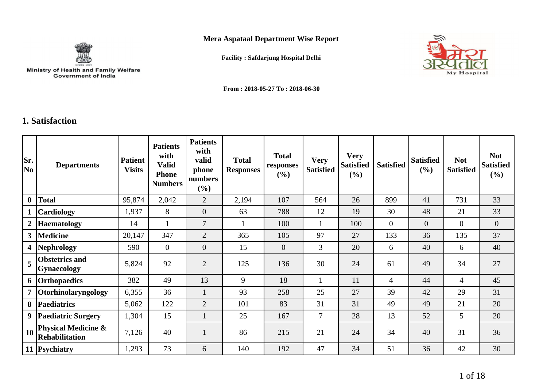**Mera Aspataal Department Wise Report**



┱

┱

**Facility : Safdarjung Hospital Delhi**



**From : 2018-05-27 To : 2018-06-30**

᠇

## **1. Satisfaction**

г

| Sr.<br>N <sub>0</sub> | <b>Departments</b>                           | <b>Patient</b><br><b>Visits</b> | <b>Patients</b><br>with<br><b>Valid</b><br><b>Phone</b><br><b>Numbers</b> | <b>Patients</b><br>with<br>valid<br>phone<br>numbers<br>$(\%)$ | <b>Total</b><br><b>Responses</b> | <b>Total</b><br>responses<br>$(\%)$ | <b>Very</b><br><b>Satisfied</b> | <b>Very</b><br><b>Satisfied</b><br>(%) | <b>Satisfied</b> | <b>Satisfied</b><br>(%) | <b>Not</b><br><b>Satisfied</b> | <b>Not</b><br><b>Satisfied</b><br>(%) |
|-----------------------|----------------------------------------------|---------------------------------|---------------------------------------------------------------------------|----------------------------------------------------------------|----------------------------------|-------------------------------------|---------------------------------|----------------------------------------|------------------|-------------------------|--------------------------------|---------------------------------------|
| $\bf{0}$              | <b>Total</b>                                 | 95,874                          | 2,042                                                                     | $\overline{2}$                                                 | 2,194                            | 107                                 | 564                             | 26                                     | 899              | 41                      | 731                            | 33                                    |
|                       | Cardiology                                   | 1,937                           | 8                                                                         | $\overline{0}$                                                 | 63                               | 788                                 | 12                              | 19                                     | 30               | 48                      | 21                             | 33                                    |
|                       | <b>Haematology</b>                           | 14                              |                                                                           | $\overline{7}$                                                 |                                  | 100                                 |                                 | 100                                    | $\overline{0}$   | $\overline{0}$          | $\overline{0}$                 | $\overline{0}$                        |
| 3 <sup>1</sup>        | <b>Medicine</b>                              | 20,147                          | 347                                                                       | $\overline{2}$                                                 | 365                              | 105                                 | 97                              | 27                                     | 133              | 36                      | 135                            | 37                                    |
|                       | 4  Nephrology                                | 590                             | $\overline{0}$                                                            | $\overline{0}$                                                 | 15                               | $\overline{0}$                      | $\mathfrak{Z}$                  | 20                                     | 6                | 40                      | 6                              | 40                                    |
| 5                     | <b>Obstetrics and</b><br><b>Gynaecology</b>  | 5,824                           | 92                                                                        | $\overline{2}$                                                 | 125                              | 136                                 | 30                              | 24                                     | 61               | 49                      | 34                             | 27                                    |
|                       | 6 Orthopaedics                               | 382                             | 49                                                                        | 13                                                             | 9                                | 18                                  |                                 | 11                                     | $\overline{4}$   | 44                      | $\overline{4}$                 | 45                                    |
|                       | 7 Otorhinolaryngology                        | 6,355                           | 36                                                                        |                                                                | 93                               | 258                                 | 25                              | 27                                     | 39               | 42                      | 29                             | 31                                    |
| 8 <sup>1</sup>        | <b>Paediatrics</b>                           | 5,062                           | 122                                                                       | $\overline{2}$                                                 | 101                              | 83                                  | 31                              | 31                                     | 49               | 49                      | 21                             | 20                                    |
|                       | 9 Paediatric Surgery                         | 1,304                           | 15                                                                        |                                                                | 25                               | 167                                 | $\tau$                          | 28                                     | 13               | 52                      | 5                              | 20                                    |
| 10                    | Physical Medicine &<br><b>Rehabilitation</b> | 7,126                           | 40                                                                        |                                                                | 86                               | 215                                 | 21                              | 24                                     | 34               | 40                      | 31                             | 36                                    |
|                       | 11 Psychiatry                                | 1,293                           | 73                                                                        | 6                                                              | 140                              | 192                                 | 47                              | 34                                     | 51               | 36                      | 42                             | 30                                    |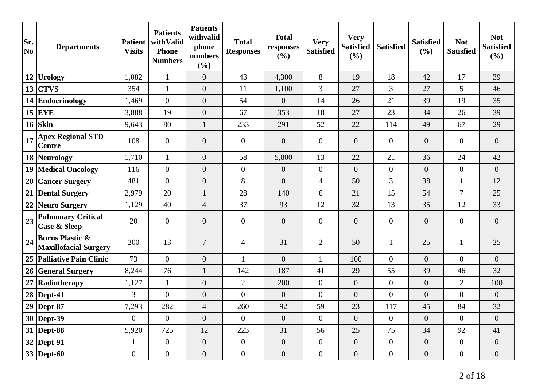| Sr.<br>No | <b>Departments</b>                                         | <b>Patient</b><br><b>Visits</b> | <b>Patients</b><br>withValid<br><b>Phone</b><br><b>Numbers</b> | <b>Patients</b><br>withvalid<br>phone<br>numbers<br>(%) | <b>Total</b><br><b>Responses</b> | <b>Total</b><br>responses<br>(%) | <b>Very</b><br><b>Satisfied</b> | <b>Very</b><br><b>Satisfied</b><br>(%) | <b>Satisfied</b> | <b>Satisfied</b><br>(%) | <b>Not</b><br><b>Satisfied</b> | <b>Not</b><br><b>Satisfied</b><br>(%) |
|-----------|------------------------------------------------------------|---------------------------------|----------------------------------------------------------------|---------------------------------------------------------|----------------------------------|----------------------------------|---------------------------------|----------------------------------------|------------------|-------------------------|--------------------------------|---------------------------------------|
| 12        | Urology                                                    | 1,082                           | $\mathbf{1}$                                                   | $\theta$                                                | 43                               | 4,300                            | $8\,$                           | 19                                     | 18               | 42                      | 17                             | 39                                    |
| 13        | <b>CTVS</b>                                                | 354                             | $\mathbf{1}$                                                   | $\overline{0}$                                          | 11                               | 1,100                            | $\overline{3}$                  | 27                                     | $\overline{3}$   | 27                      | $5\overline{)}$                | 46                                    |
|           | 14 Endocrinology                                           | 1,469                           | $\overline{0}$                                                 | $\overline{0}$                                          | 54                               | $\overline{0}$                   | 14                              | 26                                     | 21               | 39                      | 19                             | 35                                    |
|           | $15$ EYE                                                   | 3,888                           | 19                                                             | $\overline{0}$                                          | 67                               | 353                              | 18                              | 27                                     | 23               | 34                      | 26                             | 39                                    |
| 16        | Skin                                                       | 9,643                           | 80                                                             | $\mathbf{1}$                                            | 233                              | 291                              | 52                              | 22                                     | 114              | 49                      | 67                             | 29                                    |
| 17        | <b>Apex Regional STD</b><br><b>Centre</b>                  | 108                             | $\theta$                                                       | $\overline{0}$                                          | $\boldsymbol{0}$                 | $\overline{0}$                   | $\overline{0}$                  | $\overline{0}$                         | $\overline{0}$   | $\overline{0}$          | $\theta$                       | $\overline{0}$                        |
|           | 18 Neurology                                               | 1,710                           | $\mathbf{1}$                                                   | $\boldsymbol{0}$                                        | 58                               | 5,800                            | 13                              | 22                                     | 21               | 36                      | 24                             | 42                                    |
| 19        | <b>Medical Oncology</b>                                    | 116                             | $\boldsymbol{0}$                                               | $\boldsymbol{0}$                                        | $\boldsymbol{0}$                 | $\overline{0}$                   | $\boldsymbol{0}$                | $\overline{0}$                         | $\boldsymbol{0}$ | $\overline{0}$          | $\overline{0}$                 | $\overline{0}$                        |
| 20        | <b>Cancer Surgery</b>                                      | 481                             | $\overline{0}$                                                 | $\overline{0}$                                          | 8                                | $\overline{0}$                   | $\overline{4}$                  | 50                                     | $\overline{3}$   | 38                      | $\mathbf{1}$                   | 12                                    |
|           | 21 Dental Surgery                                          | 2,979                           | 20                                                             | $\mathbf{1}$                                            | 28                               | 140                              | 6                               | 21                                     | 15               | 54                      | $\overline{7}$                 | 25                                    |
| 22        | <b>Neuro Surgery</b>                                       | 1,129                           | 40                                                             | $\overline{4}$                                          | 37                               | 93                               | 12                              | 32                                     | 13               | 35                      | 12                             | 33                                    |
| 23        | <b>Pulmonary Critical</b><br><b>Case &amp; Sleep</b>       | 20                              | $\overline{0}$                                                 | $\boldsymbol{0}$                                        | $\boldsymbol{0}$                 | $\boldsymbol{0}$                 | $\overline{0}$                  | $\boldsymbol{0}$                       | $\boldsymbol{0}$ | $\overline{0}$          | $\overline{0}$                 | $\overline{0}$                        |
| 24        | <b>Burns Plastic &amp;</b><br><b>Maxillofacial Surgery</b> | 200                             | 13                                                             | $\overline{7}$                                          | $\overline{4}$                   | 31                               | $\overline{2}$                  | 50                                     | $\mathbf{1}$     | 25                      | $\mathbf{1}$                   | 25                                    |
|           | 25 Palliative Pain Clinic                                  | 73                              | $\overline{0}$                                                 | $\boldsymbol{0}$                                        | $\mathbf{1}$                     | $\overline{0}$                   | $\mathbf{1}$                    | 100                                    | $\overline{0}$   | $\overline{0}$          | $\overline{0}$                 | $\overline{0}$                        |
|           | 26 General Surgery                                         | 8,244                           | 76                                                             | $\mathbf{1}$                                            | 142                              | 187                              | 41                              | 29                                     | 55               | 39                      | 46                             | 32                                    |
| 27        | Radiotherapy                                               | 1,127                           | $\mathbf{1}$                                                   | $\overline{0}$                                          | $\overline{2}$                   | 200                              | $\overline{0}$                  | $\overline{0}$                         | $\overline{0}$   | $\overline{0}$          | $\overline{2}$                 | 100                                   |
| 28        | Dept-41                                                    | $\overline{3}$                  | $\overline{0}$                                                 | $\overline{0}$                                          | $\overline{0}$                   | $\mathbf{0}$                     | $\overline{0}$                  | $\overline{0}$                         | $\overline{0}$   | $\overline{0}$          | $\overline{0}$                 | $\overline{0}$                        |
|           | $29$ Dept-87                                               | 7,293                           | 282                                                            | $\overline{4}$                                          | 260                              | 92                               | 59                              | 23                                     | 117              | 45                      | 84                             | 32                                    |
|           | 30   Dept-39                                               | $\overline{0}$                  | $\boldsymbol{0}$                                               | $\boldsymbol{0}$                                        | $\boldsymbol{0}$                 | $\boldsymbol{0}$                 | $\boldsymbol{0}$                | $\boldsymbol{0}$                       | $\boldsymbol{0}$ | $\overline{0}$          | $\overline{0}$                 | $\boldsymbol{0}$                      |
| 31        | Dept-88                                                    | 5,920                           | 725                                                            | 12                                                      | 223                              | 31                               | 56                              | 25                                     | 75               | 34                      | 92                             | 41                                    |
|           | $32$ Dept-91                                               | $\mathbf{1}$                    | $\mathbf{0}$                                                   | $\overline{0}$                                          | $\boldsymbol{0}$                 | $\overline{0}$                   | $\overline{0}$                  | $\overline{0}$                         | $\boldsymbol{0}$ | $\overline{0}$          | $\overline{0}$                 | $\boldsymbol{0}$                      |
|           | $33$ Dept-60                                               | $\overline{0}$                  | $\mathbf{0}$                                                   | $\overline{0}$                                          | $\overline{0}$                   | $\overline{0}$                   | $\boldsymbol{0}$                | $\boldsymbol{0}$                       | $\overline{0}$   | $\overline{0}$          | $\overline{0}$                 | $\boldsymbol{0}$                      |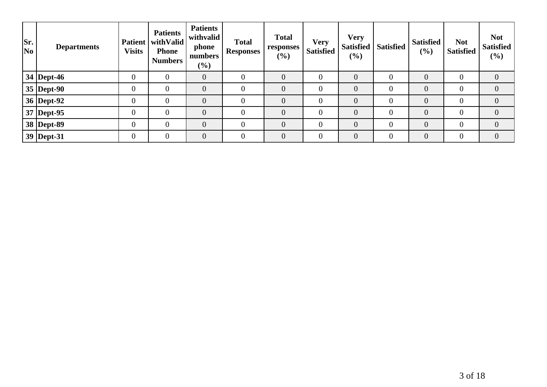| Sr.<br>$\overline{\text{No}}$ | <b>Departments</b> | <b>Patient</b><br><b>Visits</b> | <b>Patients</b><br>with Valid<br><b>Phone</b><br><b>Numbers</b> | <b>Patients</b><br>withvalid<br>phone<br>numbers<br>$(\%)$ | <b>Total</b><br><b>Responses</b> | <b>Total</b><br>responses<br>(%) | <b>Very</b><br><b>Satisfied</b> | <b>Very</b><br>(%) | Satisfied   Satisfied | <b>Satisfied</b><br>(%) | <b>Not</b><br><b>Satisfied</b> | <b>Not</b><br><b>Satisfied</b><br>$(\%)$ |
|-------------------------------|--------------------|---------------------------------|-----------------------------------------------------------------|------------------------------------------------------------|----------------------------------|----------------------------------|---------------------------------|--------------------|-----------------------|-------------------------|--------------------------------|------------------------------------------|
|                               | $34$ Dept-46       |                                 |                                                                 | $\theta$                                                   | $\overline{0}$                   | $\overline{0}$                   |                                 | $\overline{0}$     | 0                     | $\overline{0}$          | $\overline{0}$                 | $\overline{0}$                           |
|                               | $35$ Dept-90       |                                 | 0                                                               | $\overline{0}$                                             | $\overline{0}$                   | $\overline{0}$                   |                                 | $\overline{0}$     | 0                     | $\theta$                | $\Omega$                       | 0                                        |
|                               | 36   Dept-92       |                                 |                                                                 | $\theta$                                                   | $\theta$                         | $\overline{0}$                   |                                 | $\overline{0}$     | $\overline{0}$        | $\overline{0}$          | $\Omega$                       | $\overline{0}$                           |
|                               | $37$ Dept-95       | $\overline{0}$                  |                                                                 | $\overline{0}$                                             | $\overline{0}$                   | $\overline{0}$                   |                                 | $\overline{0}$     | 0                     | $\overline{0}$          | $\overline{0}$                 | $\overline{0}$                           |
|                               | 38 Dept-89         |                                 |                                                                 | $\theta$                                                   | $\theta$                         | $\overline{0}$                   |                                 | $\Omega$           | 0                     | $\theta$                | $\Omega$                       | $\Omega$                                 |
|                               | $ 39 $ Dept-31     |                                 |                                                                 | $\overline{0}$                                             | $\Omega$                         | $\theta$                         |                                 | $\overline{0}$     | $\overline{0}$        | $\overline{0}$          | $\Omega$                       | $\overline{0}$                           |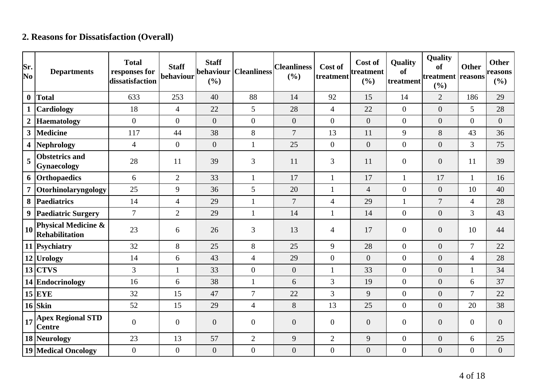# **2. Reasons for Dissatisfaction (Overall)**

| Sr.<br>No        | <b>Departments</b>                                      | <b>Total</b><br>responses for<br>dissatisfaction | <b>Staff</b><br>behaviour | <b>Staff</b><br>behaviour<br>(%) | <b>Cleanliness</b> | <b>Cleanliness</b><br>(%) | Cost of<br>treatment | Cost of<br>treatment<br>(%) | <b>Quality</b><br>of<br>treatment | Quality<br>of<br>treatment reasons<br>(%) | <b>Other</b>     | <b>Other</b><br>reasons<br>(%) |
|------------------|---------------------------------------------------------|--------------------------------------------------|---------------------------|----------------------------------|--------------------|---------------------------|----------------------|-----------------------------|-----------------------------------|-------------------------------------------|------------------|--------------------------------|
| $\mathbf{0}$     | <b>Total</b>                                            | 633                                              | 253                       | 40                               | 88                 | 14                        | 92                   | 15                          | 14                                | $\overline{2}$                            | 186              | 29                             |
| $\mathbf 1$      | Cardiology                                              | 18                                               | $\overline{4}$            | 22                               | 5                  | 28                        | $\overline{4}$       | 22                          | $\overline{0}$                    | $\overline{0}$                            | 5                | 28                             |
| $\boldsymbol{2}$ | <b>Haematology</b>                                      | $\overline{0}$                                   | $\overline{0}$            | $\overline{0}$                   | $\overline{0}$     | $\overline{0}$            | $\overline{0}$       | $\boldsymbol{0}$            | $\overline{0}$                    | $\overline{0}$                            | $\overline{0}$   | $\boldsymbol{0}$               |
| 3 <sup>1</sup>   | <b>Medicine</b>                                         | 117                                              | 44                        | 38                               | 8                  | $\overline{7}$            | 13                   | 11                          | 9                                 | 8                                         | 43               | 36                             |
| 4                | <b>Nephrology</b>                                       | $\overline{4}$                                   | $\overline{0}$            | $\overline{0}$                   | 1                  | 25                        | $\overline{0}$       | $\overline{0}$              | $\overline{0}$                    | $\overline{0}$                            | 3                | 75                             |
| 5                | <b>Obstetrics and</b><br>Gynaecology                    | 28                                               | 11                        | 39                               | 3                  | 11                        | 3                    | 11                          | $\overline{0}$                    | $\overline{0}$                            | 11               | 39                             |
| 6                | Orthopaedics                                            | 6                                                | $\overline{2}$            | 33                               | $\mathbf{1}$       | 17                        | $\mathbf{1}$         | 17                          | $\mathbf{1}$                      | 17                                        | $\mathbf{1}$     | 16                             |
| $\overline{7}$   | Otorhinolaryngology                                     | 25                                               | 9                         | 36                               | 5                  | 20                        | $\mathbf{1}$         | $\overline{4}$              | $\overline{0}$                    | $\overline{0}$                            | 10               | 40                             |
| 8                | <b>Paediatrics</b>                                      | 14                                               | $\overline{4}$            | 29                               | $\mathbf{1}$       | $\overline{7}$            | $\overline{4}$       | 29                          | $\mathbf{1}$                      | $\overline{7}$                            | $\overline{4}$   | 28                             |
|                  | 9 Paediatric Surgery                                    | $\overline{7}$                                   | $\overline{2}$            | 29                               | $\mathbf{1}$       | 14                        | $\mathbf{1}$         | 14                          | $\overline{0}$                    | $\overline{0}$                            | 3                | 43                             |
| 10               | <b>Physical Medicine &amp;</b><br><b>Rehabilitation</b> | 23                                               | 6                         | 26                               | 3                  | 13                        | 4                    | 17                          | $\boldsymbol{0}$                  | $\overline{0}$                            | 10               | 44                             |
|                  | 11 Psychiatry                                           | 32                                               | $8\,$                     | 25                               | 8                  | 25                        | 9                    | 28                          | $\overline{0}$                    | $\overline{0}$                            | $\tau$           | 22                             |
|                  | 12 Urology                                              | 14                                               | 6                         | 43                               | $\overline{4}$     | 29                        | $\overline{0}$       | $\overline{0}$              | $\overline{0}$                    | $\overline{0}$                            | $\overline{4}$   | 28                             |
|                  | $13$ CTVS                                               | 3                                                | $\mathbf{1}$              | 33                               | $\overline{0}$     | $\theta$                  | 1                    | 33                          | $\overline{0}$                    | $\overline{0}$                            | $\mathbf{1}$     | 34                             |
|                  | 14 Endocrinology                                        | 16                                               | 6                         | 38                               | 1                  | 6                         | 3                    | 19                          | $\boldsymbol{0}$                  | $\overline{0}$                            | 6                | 37                             |
|                  | $15$ EYE                                                | 32                                               | 15                        | 47                               | $\overline{7}$     | 22                        | $\overline{3}$       | 9                           | $\overline{0}$                    | $\overline{0}$                            | $\tau$           | 22                             |
|                  | $16$ Skin                                               | 52                                               | 15                        | 29                               | $\overline{4}$     | $8\,$                     | 13                   | 25                          | $\overline{0}$                    | $\overline{0}$                            | 20               | 38                             |
| 17               | <b>Apex Regional STD</b><br><b>Centre</b>               | $\overline{0}$                                   | $\overline{0}$            | $\overline{0}$                   | $\overline{0}$     | $\overline{0}$            | $\overline{0}$       | $\overline{0}$              | $\overline{0}$                    | $\overline{0}$                            | $\overline{0}$   | $\overline{0}$                 |
|                  | 18 Neurology                                            | 23                                               | 13                        | 57                               | $\overline{2}$     | 9                         | $\overline{2}$       | 9                           | $\boldsymbol{0}$                  | $\boldsymbol{0}$                          | 6                | 25                             |
|                  | 19 Medical Oncology                                     | $\overline{0}$                                   | $\boldsymbol{0}$          | $\overline{0}$                   | $\overline{0}$     | $\boldsymbol{0}$          | $\overline{0}$       | $\boldsymbol{0}$            | $\boldsymbol{0}$                  | $\overline{0}$                            | $\boldsymbol{0}$ | $\boldsymbol{0}$               |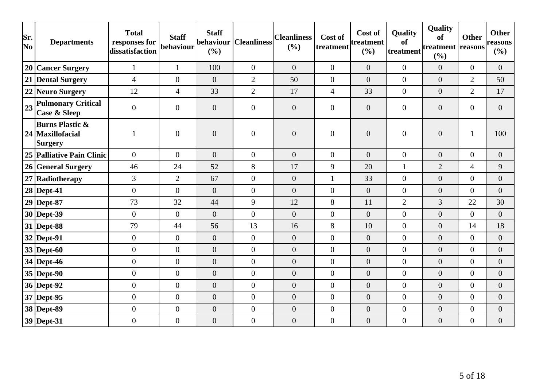| Sr.<br>No | <b>Departments</b>                                          | <b>Total</b><br>responses for<br>dissatisfaction | <b>Staff</b><br>behaviour | <b>Staff</b><br> behaviour  <br>(%) | <b>Cleanliness</b> | <b>Cleanliness</b><br>(%) | Cost of<br>treatment | Cost of<br>treatment<br>(%) | Quality<br><b>of</b><br>treatment | Quality<br><b>of</b><br>treatment<br>(%) | <b>Other</b><br>reasons | <b>Other</b><br>reasons<br>(%) |
|-----------|-------------------------------------------------------------|--------------------------------------------------|---------------------------|-------------------------------------|--------------------|---------------------------|----------------------|-----------------------------|-----------------------------------|------------------------------------------|-------------------------|--------------------------------|
|           | 20 Cancer Surgery                                           | $\mathbf{1}$                                     | $\mathbf{1}$              | 100                                 | $\overline{0}$     | $\overline{0}$            | $\overline{0}$       | $\overline{0}$              | $\overline{0}$                    | $\overline{0}$                           | $\boldsymbol{0}$        | $\overline{0}$                 |
|           | 21 Dental Surgery                                           | $\overline{4}$                                   | $\overline{0}$            | $\overline{0}$                      | $\overline{2}$     | 50                        | $\overline{0}$       | $\overline{0}$              | $\overline{0}$                    | $\overline{0}$                           | $\overline{2}$          | 50                             |
|           | 22 Neuro Surgery                                            | 12                                               | $\overline{4}$            | 33                                  | $\overline{2}$     | 17                        | $\overline{4}$       | 33                          | $\overline{0}$                    | $\overline{0}$                           | $\overline{2}$          | 17                             |
| 23        | <b>Pulmonary Critical</b><br><b>Case &amp; Sleep</b>        | $\overline{0}$                                   | $\overline{0}$            | $\overline{0}$                      | $\overline{0}$     | $\overline{0}$            | $\overline{0}$       | $\overline{0}$              | $\overline{0}$                    | $\overline{0}$                           | $\overline{0}$          | $\overline{0}$                 |
|           | <b>Burns Plastic &amp;</b><br>24   Maxillofacial<br>Surgery |                                                  | $\boldsymbol{0}$          | $\boldsymbol{0}$                    | $\overline{0}$     | $\boldsymbol{0}$          | $\overline{0}$       | $\boldsymbol{0}$            | $\overline{0}$                    | $\boldsymbol{0}$                         | 1                       | 100                            |
|           | 25 Palliative Pain Clinic                                   | $\overline{0}$                                   | $\overline{0}$            | $\overline{0}$                      | $\overline{0}$     | $\overline{0}$            | $\overline{0}$       | $\overline{0}$              | $\overline{0}$                    | $\overline{0}$                           | $\overline{0}$          | $\overline{0}$                 |
|           | 26 General Surgery                                          | 46                                               | 24                        | 52                                  | 8                  | 17                        | 9                    | 20                          | $\mathbf{1}$                      | $\overline{2}$                           | $\overline{4}$          | 9                              |
|           | 27 Radiotherapy                                             | 3                                                | $\overline{2}$            | 67                                  | $\overline{0}$     | $\boldsymbol{0}$          | 1                    | 33                          | $\overline{0}$                    | $\overline{0}$                           | $\overline{0}$          | $\overline{0}$                 |
|           | $28$ Dept-41                                                | $\boldsymbol{0}$                                 | $\overline{0}$            | $\overline{0}$                      | $\overline{0}$     | $\overline{0}$            | $\boldsymbol{0}$     | $\boldsymbol{0}$            | $\overline{0}$                    | $\boldsymbol{0}$                         | $\boldsymbol{0}$        | $\overline{0}$                 |
|           | $29$ Dept-87                                                | 73                                               | 32                        | 44                                  | 9                  | 12                        | 8                    | 11                          | $\overline{2}$                    | 3                                        | 22                      | 30                             |
|           | $30$ Dept-39                                                | $\overline{0}$                                   | $\overline{0}$            | $\boldsymbol{0}$                    | $\overline{0}$     | $\overline{0}$            | $\overline{0}$       | $\overline{0}$              | $\overline{0}$                    | $\boldsymbol{0}$                         | $\boldsymbol{0}$        | $\overline{0}$                 |
|           | $31$ Dept-88                                                | 79                                               | 44                        | 56                                  | 13                 | 16                        | 8                    | 10                          | $\overline{0}$                    | $\overline{0}$                           | 14                      | 18                             |
|           | $32$ Dept-91                                                | $\boldsymbol{0}$                                 | $\overline{0}$            | $\overline{0}$                      | $\overline{0}$     | $\overline{0}$            | $\overline{0}$       | $\overline{0}$              | $\overline{0}$                    | $\boldsymbol{0}$                         | $\overline{0}$          | $\overline{0}$                 |
|           | $33$ Dept-60                                                | $\boldsymbol{0}$                                 | $\overline{0}$            | $\overline{0}$                      | $\overline{0}$     | $\overline{0}$            | $\overline{0}$       | $\overline{0}$              | $\overline{0}$                    | $\overline{0}$                           | $\overline{0}$          | $\overline{0}$                 |
|           | $34$ Dept-46                                                | $\overline{0}$                                   | $\overline{0}$            | $\overline{0}$                      | $\overline{0}$     | $\overline{0}$            | $\overline{0}$       | $\overline{0}$              | $\overline{0}$                    | $\overline{0}$                           | $\overline{0}$          | $\overline{0}$                 |
|           | $35$ Dept-90                                                | $\boldsymbol{0}$                                 | $\overline{0}$            | $\boldsymbol{0}$                    | $\boldsymbol{0}$   | $\boldsymbol{0}$          | $\boldsymbol{0}$     | $\overline{0}$              | $\overline{0}$                    | $\overline{0}$                           | $\overline{0}$          | $\overline{0}$                 |
|           | 36 Dept-92                                                  | $\boldsymbol{0}$                                 | $\overline{0}$            | $\boldsymbol{0}$                    | $\overline{0}$     | $\overline{0}$            | $\boldsymbol{0}$     | $\overline{0}$              | $\overline{0}$                    | $\overline{0}$                           | $\overline{0}$          | $\overline{0}$                 |
|           | $37$ Dept-95                                                | $\boldsymbol{0}$                                 | $\overline{0}$            | $\boldsymbol{0}$                    | $\overline{0}$     | $\overline{0}$            | $\boldsymbol{0}$     | $\boldsymbol{0}$            | $\overline{0}$                    | $\overline{0}$                           | $\boldsymbol{0}$        | $\overline{0}$                 |
|           | 38 Dept-89                                                  | $\boldsymbol{0}$                                 | $\boldsymbol{0}$          | $\boldsymbol{0}$                    | $\boldsymbol{0}$   | $\boldsymbol{0}$          | $\boldsymbol{0}$     | $\boldsymbol{0}$            | $\overline{0}$                    | $\boldsymbol{0}$                         | $\overline{0}$          | $\overline{0}$                 |
|           | $39$ Dept-31                                                | $\boldsymbol{0}$                                 | $\overline{0}$            | $\overline{0}$                      | $\overline{0}$     | $\boldsymbol{0}$          | $\overline{0}$       | $\boldsymbol{0}$            | $\overline{0}$                    | $\boldsymbol{0}$                         | $\boldsymbol{0}$        | $\boldsymbol{0}$               |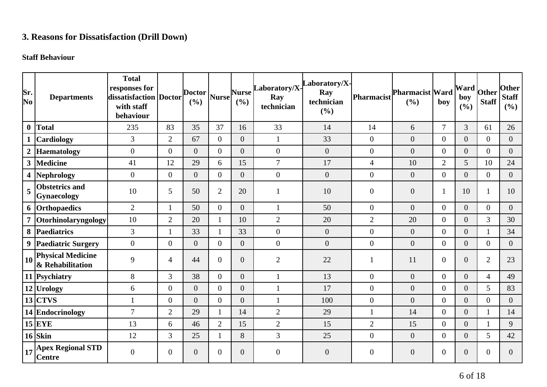## **3. Reasons for Dissatisfaction (Drill Down)**

#### **Staff Behaviour**

| Sr.<br>No        | <b>Departments</b>                                                          | <b>Total</b><br>responses for<br>dissatisfaction   Doctor<br>with staff<br>behaviour |                  | <b>Doctor</b><br>(%) | <b>Nurse</b>   | <b>Nurse</b><br>(%) | Laboratory/X-<br>Ray<br>technician | aboratory/X-<br>Ray<br>technician<br>(%) | <b>Pharmacist</b> | Pharmacist Ward<br>(%) | boy            | <b>Ward</b><br>boy<br>$(\frac{6}{6})$ | Other<br><b>Staff</b> | <b>Other</b><br><b>Staff</b><br>(%) |
|------------------|-----------------------------------------------------------------------------|--------------------------------------------------------------------------------------|------------------|----------------------|----------------|---------------------|------------------------------------|------------------------------------------|-------------------|------------------------|----------------|---------------------------------------|-----------------------|-------------------------------------|
| $\boldsymbol{0}$ | Total                                                                       | 235                                                                                  | 83               | 35                   | 37             | 16                  | 33                                 | 14                                       | 14                | 6                      | $\overline{7}$ | 3                                     | 61                    | 26                                  |
|                  | <b>Cardiology</b>                                                           | 3                                                                                    | $\overline{2}$   | 67                   | $\overline{0}$ | $\overline{0}$      | $\mathbf{1}$                       | 33                                       | $\boldsymbol{0}$  | $\boldsymbol{0}$       | $\overline{0}$ | $\overline{0}$                        | $\overline{0}$        | $\overline{0}$                      |
| $\boldsymbol{2}$ | Haematology                                                                 | $\boldsymbol{0}$                                                                     | $\boldsymbol{0}$ | $\overline{0}$       | $\overline{0}$ | $\overline{0}$      | $\mathbf{0}$                       | $\overline{0}$                           | $\boldsymbol{0}$  | $\boldsymbol{0}$       | $\overline{0}$ | $\overline{0}$                        | $\overline{0}$        | $\overline{0}$                      |
|                  | 3 Medicine                                                                  | 41                                                                                   | 12               | 29                   | 6              | 15                  | $\overline{7}$                     | 17                                       | $\overline{4}$    | 10                     | $\overline{2}$ | 5                                     | 10                    | 24                                  |
| 4                | Nephrology                                                                  | $\boldsymbol{0}$                                                                     | $\mathbf{0}$     | $\overline{0}$       | $\overline{0}$ | $\overline{0}$      | $\mathbf{0}$                       | $\overline{0}$                           | $\boldsymbol{0}$  | $\boldsymbol{0}$       | $\overline{0}$ | $\overline{0}$                        | $\overline{0}$        | $\overline{0}$                      |
| 5                | <b>Obstetrics and</b><br><b>Gynaecology</b>                                 | 10                                                                                   | 5                | 50                   | $\overline{2}$ | 20                  | 1                                  | 10                                       | $\boldsymbol{0}$  | $\overline{0}$         | $\mathbf{1}$   | 10                                    | -1                    | 10                                  |
|                  | 6 Orthopaedics                                                              | $\overline{2}$                                                                       |                  | 50                   | $\theta$       | $\overline{0}$      | $\mathbf{1}$                       | 50                                       | $\overline{0}$    | $\overline{0}$         | $\overline{0}$ | $\overline{0}$                        | $\overline{0}$        | $\overline{0}$                      |
|                  | Otorhinolaryngology                                                         | 10                                                                                   | $\overline{2}$   | 20                   | 1              | 10                  | $\mathbf{2}$                       | 20                                       | $\overline{2}$    | 20                     | $\overline{0}$ | $\overline{0}$                        | 3                     | 30                                  |
|                  | 8 Paediatrics                                                               | $\overline{3}$                                                                       | $\mathbf{1}$     | 33                   |                | 33                  | $\boldsymbol{0}$                   | $\overline{0}$                           | $\boldsymbol{0}$  | $\boldsymbol{0}$       | $\overline{0}$ | $\overline{0}$                        |                       | 34                                  |
|                  | 9 Paediatric Surgery                                                        | $\overline{0}$                                                                       | $\mathbf{0}$     | $\overline{0}$       | $\theta$       | $\overline{0}$      | $\overline{0}$                     | $\overline{0}$                           | $\boldsymbol{0}$  | $\overline{0}$         | $\overline{0}$ | $\overline{0}$                        | $\overline{0}$        | $\overline{0}$                      |
| 10 <sup>1</sup>  | <b>Physical Medicine</b><br>& Rehabilitation                                | 9                                                                                    | $\overline{4}$   | 44                   | $\overline{0}$ | $\overline{0}$      | $\mathfrak{2}$                     | 22                                       | $\mathbf{1}$      | 11                     | $\overline{0}$ | $\overline{0}$                        | $\overline{2}$        | 23                                  |
|                  | 11 Psychiatry                                                               | 8                                                                                    | 3                | 38                   | $\overline{0}$ | $\overline{0}$      | $\mathbf{1}$                       | 13                                       | $\boldsymbol{0}$  | $\overline{0}$         | $\overline{0}$ | $\overline{0}$                        | $\overline{4}$        | 49                                  |
|                  | 12 Urology                                                                  | 6                                                                                    | $\overline{0}$   | $\overline{0}$       | $\theta$       | $\overline{0}$      | $\mathbf{1}$                       | 17                                       | $\boldsymbol{0}$  | $\overline{0}$         | $\Omega$       | $\overline{0}$                        | 5                     | 83                                  |
|                  | $13$ CTVS                                                                   | $\mathbf{1}$                                                                         | $\overline{0}$   | $\overline{0}$       | $\overline{0}$ | $\overline{0}$      | $\mathbf{1}$                       | 100                                      | $\boldsymbol{0}$  | $\overline{0}$         | $\overline{0}$ | $\overline{0}$                        | $\overline{0}$        | $\overline{0}$                      |
|                  | 14 Endocrinology                                                            | $\overline{7}$                                                                       | $\overline{2}$   | 29                   | 1              | 14                  | $\mathbf{2}$                       | 29                                       | $\mathbf{1}$      | 14                     | $\overline{0}$ | $\overline{0}$                        |                       | 14                                  |
|                  | $15$ EYE                                                                    | 13                                                                                   | 6                | 46                   | $\overline{2}$ | 15                  | $\overline{2}$                     | 15                                       | $\overline{2}$    | 15                     | $\overline{0}$ | $\overline{0}$                        |                       | 9                                   |
|                  | $16$ Skin                                                                   | 12                                                                                   | 3                | 25                   |                | 8                   | 3                                  | 25                                       | $\boldsymbol{0}$  | $\boldsymbol{0}$       | $\overline{0}$ | $\overline{0}$                        | 5                     | 42                                  |
|                  | $\left  \frac{1}{17} \right _0^{\text{Apez}}$ Regional STD<br><b>Centre</b> | $\overline{0}$                                                                       | $\overline{0}$   | $\overline{0}$       | $\theta$       | $\overline{0}$      | $\overline{0}$                     | $\overline{0}$                           | $\boldsymbol{0}$  | $\boldsymbol{0}$       | $\overline{0}$ | $\boldsymbol{0}$                      | $\overline{0}$        | $\Omega$                            |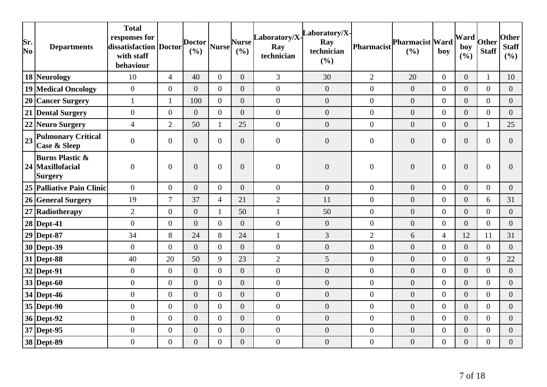| Sr.<br>No | <b>Departments</b>                                               | <b>Total</b><br>responses for<br>dissatisfaction Doctor<br>with staff<br>behaviour |                  | <b>Doctor</b><br>(%) | <b>Nurse</b>     | <b>Nurse</b><br>(%) | Laboratory/X-<br>Ray<br>technician | aboratory/X-<br>Ray<br>technician<br>(%) | Pharmacist       | Pharmacist Ward<br>(%) | boy            | Ward<br>boy<br>(%) | Other<br><b>Staff</b> | <b>Other</b><br><b>Staff</b><br>(%) |
|-----------|------------------------------------------------------------------|------------------------------------------------------------------------------------|------------------|----------------------|------------------|---------------------|------------------------------------|------------------------------------------|------------------|------------------------|----------------|--------------------|-----------------------|-------------------------------------|
|           | 18 Neurology                                                     | 10                                                                                 | $\overline{4}$   | 40                   | $\overline{0}$   | $\overline{0}$      | 3                                  | 30                                       | $\overline{2}$   | 20                     | $\overline{0}$ | $\overline{0}$     | $\mathbf{1}$          | 10                                  |
|           | 19 Medical Oncology                                              | $\overline{0}$                                                                     | $\overline{0}$   | $\overline{0}$       | $\overline{0}$   | $\overline{0}$      | $\overline{0}$                     | $\overline{0}$                           | $\boldsymbol{0}$ | $\boldsymbol{0}$       | $\overline{0}$ | $\overline{0}$     | $\overline{0}$        | $\overline{0}$                      |
|           | 20 Cancer Surgery                                                | $\mathbf{1}$                                                                       | $\mathbf{1}$     | 100                  | $\theta$         | $\overline{0}$      | $\overline{0}$                     | $\overline{0}$                           | $\boldsymbol{0}$ | $\boldsymbol{0}$       | $\overline{0}$ | $\overline{0}$     | $\overline{0}$        | $\overline{0}$                      |
|           | 21 Dental Surgery                                                | $\boldsymbol{0}$                                                                   | $\boldsymbol{0}$ | $\overline{0}$       | $\theta$         | $\overline{0}$      | $\boldsymbol{0}$                   | $\overline{0}$                           | $\boldsymbol{0}$ | $\boldsymbol{0}$       | $\overline{0}$ | $\overline{0}$     | $\overline{0}$        | $\overline{0}$                      |
|           | 22 Neuro Surgery                                                 | $\overline{4}$                                                                     | $\overline{2}$   | 50                   | 1                | 25                  | $\boldsymbol{0}$                   | $\boldsymbol{0}$                         | $\boldsymbol{0}$ | $\boldsymbol{0}$       | $\overline{0}$ | $\overline{0}$     | $\mathbf{1}$          | 25                                  |
| 23        | <b>Pulmonary Critical</b><br><b>Case &amp; Sleep</b>             | $\boldsymbol{0}$                                                                   | $\mathbf{0}$     | $\overline{0}$       | $\overline{0}$   | $\overline{0}$      | $\boldsymbol{0}$                   | $\overline{0}$                           | $\boldsymbol{0}$ | $\boldsymbol{0}$       | $\overline{0}$ | $\overline{0}$     | $\overline{0}$        | $\overline{0}$                      |
|           | <b>Burns Plastic &amp;</b><br>24 Maxillofacial<br><b>Surgery</b> | $\overline{0}$                                                                     | $\overline{0}$   | $\overline{0}$       | $\overline{0}$   | $\overline{0}$      | $\overline{0}$                     | $\overline{0}$                           | $\overline{0}$   | $\mathbf{0}$           | $\overline{0}$ | $\overline{0}$     | $\overline{0}$        | 0                                   |
|           | 25 Palliative Pain Clinic                                        | $\boldsymbol{0}$                                                                   | $\boldsymbol{0}$ | $\overline{0}$       | $\overline{0}$   | $\overline{0}$      | $\overline{0}$                     | $\boldsymbol{0}$                         | $\boldsymbol{0}$ | $\boldsymbol{0}$       | $\overline{0}$ | $\overline{0}$     | $\overline{0}$        | $\overline{0}$                      |
|           | 26 General Surgery                                               | 19                                                                                 | $\overline{7}$   | 37                   | $\overline{4}$   | 21                  | $\mathbf{2}$                       | 11                                       | $\boldsymbol{0}$ | $\boldsymbol{0}$       | $\overline{0}$ | $\overline{0}$     | 6                     | 31                                  |
|           | 27 Radiotherapy                                                  | $\overline{2}$                                                                     | $\boldsymbol{0}$ | $\overline{0}$       | $\mathbf{1}$     | 50                  | $\mathbf{1}$                       | 50                                       | $\overline{0}$   | $\boldsymbol{0}$       | $\overline{0}$ | $\overline{0}$     | $\mathbf{0}$          | $\overline{0}$                      |
|           | $28$ Dept-41                                                     | $\boldsymbol{0}$                                                                   | $\boldsymbol{0}$ | $\overline{0}$       | $\overline{0}$   | $\overline{0}$      | $\mathbf{0}$                       | $\boldsymbol{0}$                         | $\boldsymbol{0}$ | $\boldsymbol{0}$       | $\overline{0}$ | $\overline{0}$     | $\overline{0}$        | $\overline{0}$                      |
|           | $29$ Dept-87                                                     | 34                                                                                 | 8                | 24                   | 8                | 24                  | $\mathbf{1}$                       | 3                                        | $\overline{2}$   | 6                      | $\overline{4}$ | 12                 | 11                    | 31                                  |
|           | 30 Dept-39                                                       | $\boldsymbol{0}$                                                                   | $\overline{0}$   | $\overline{0}$       | $\overline{0}$   | $\overline{0}$      | $\mathbf{0}$                       | $\overline{0}$                           | $\boldsymbol{0}$ | $\boldsymbol{0}$       | $\overline{0}$ | $\overline{0}$     | $\overline{0}$        | $\overline{0}$                      |
|           | 31 Dept-88                                                       | 40                                                                                 | 20               | 50                   | 9                | 23                  | $\sqrt{2}$                         | 5                                        | $\boldsymbol{0}$ | $\boldsymbol{0}$       | $\overline{0}$ | $\overline{0}$     | 9                     | 22                                  |
|           | $32$ Dept-91                                                     | $\boldsymbol{0}$                                                                   | $\boldsymbol{0}$ | $\overline{0}$       | $\Omega$         | $\overline{0}$      | $\boldsymbol{0}$                   | $\boldsymbol{0}$                         | $\boldsymbol{0}$ | $\boldsymbol{0}$       | $\overline{0}$ | $\overline{0}$     | $\theta$              | $\overline{0}$                      |
|           | $33$ Dept-60                                                     | $\boldsymbol{0}$                                                                   | $\boldsymbol{0}$ | $\overline{0}$       | $\overline{0}$   | $\overline{0}$      | $\boldsymbol{0}$                   | $\boldsymbol{0}$                         | $\boldsymbol{0}$ | $\boldsymbol{0}$       | $\overline{0}$ | $\overline{0}$     | $\overline{0}$        | $\overline{0}$                      |
|           | 34 Dept-46                                                       | $\boldsymbol{0}$                                                                   | $\boldsymbol{0}$ | $\overline{0}$       | $\overline{0}$   | $\overline{0}$      | $\boldsymbol{0}$                   | $\overline{0}$                           | $\boldsymbol{0}$ | $\boldsymbol{0}$       | $\overline{0}$ | $\overline{0}$     | $\overline{0}$        | $\overline{0}$                      |
|           | $35$ Dept-90                                                     | $\overline{0}$                                                                     | $\overline{0}$   | $\overline{0}$       | $\overline{0}$   | $\overline{0}$      | $\mathbf{0}$                       | $\overline{0}$                           | $\overline{0}$   | $\boldsymbol{0}$       | $\overline{0}$ | $\overline{0}$     | $\overline{0}$        | $\overline{0}$                      |
|           | 36 Dept-92                                                       | $\boldsymbol{0}$                                                                   | $\boldsymbol{0}$ | $\overline{0}$       | $\overline{0}$   | $\overline{0}$      | $\boldsymbol{0}$                   | $\overline{0}$                           | $\boldsymbol{0}$ | $\boldsymbol{0}$       | $\overline{0}$ | $\overline{0}$     | $\overline{0}$        | $\overline{0}$                      |
|           | 37 Dept-95                                                       | $\boldsymbol{0}$                                                                   | $\boldsymbol{0}$ | $\boldsymbol{0}$     | $\overline{0}$   | $\boldsymbol{0}$    | $\boldsymbol{0}$                   | $\boldsymbol{0}$                         | $\boldsymbol{0}$ | $\boldsymbol{0}$       | $\overline{0}$ | $\boldsymbol{0}$   | $\boldsymbol{0}$      | $\overline{0}$                      |
|           | 38 Dept-89                                                       | $\boldsymbol{0}$                                                                   | $\boldsymbol{0}$ | $\boldsymbol{0}$     | $\boldsymbol{0}$ | $\overline{0}$      | $\boldsymbol{0}$                   | $\boldsymbol{0}$                         | $\boldsymbol{0}$ | $\boldsymbol{0}$       | $\overline{0}$ | $\overline{0}$     | $\boldsymbol{0}$      | $\overline{0}$                      |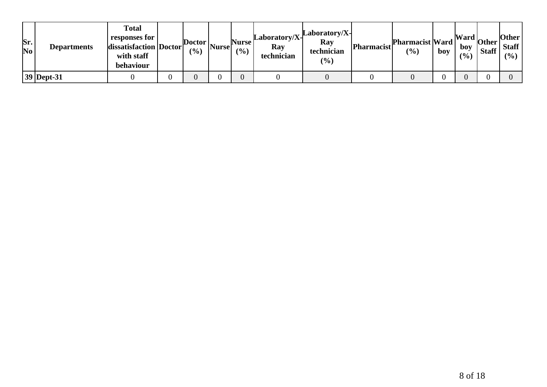| Sr.<br>$\bf No$ | <b>Departments</b> | <b>Total</b><br>responses for<br>dissatisfaction   Doctor<br>with staff<br>behaviour | $\left  \text{Dotor} \right _{\text{Nurse}}$<br>$\frac{(0)}{0}$ | Nurse  <br>(9/0) | $Laboratory/X-$<br>Ray<br>technician | Laboratory/X-<br>Ray<br>technician<br>(%) | <b>Pharmacist</b> | <b>Pharmacist Ward</b><br>$\left( \frac{0}{0} \right)$ | boy | boy<br>(9/0) | $\frac{1}{2}$ Mard $\frac{1}{2}$ other $\frac{1}{2}$<br><b>Staff</b> | Other<br><b>Staff</b><br>$($ %) |
|-----------------|--------------------|--------------------------------------------------------------------------------------|-----------------------------------------------------------------|------------------|--------------------------------------|-------------------------------------------|-------------------|--------------------------------------------------------|-----|--------------|----------------------------------------------------------------------|---------------------------------|
|                 | 39 Dept-31         |                                                                                      |                                                                 |                  |                                      |                                           |                   |                                                        |     |              |                                                                      |                                 |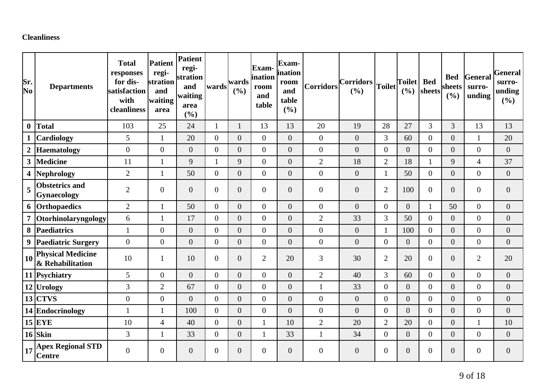## **Cleanliness**

| Sr.<br>No               | <b>Departments</b>                                                  | <b>Total</b><br>responses<br>for dis-<br>satisfaction<br>with<br>cleanliness | <b>Patient</b><br>regi-<br>stration<br>and<br>waiting<br>area | Patient<br>regi-<br>stration<br>and<br>waiting<br>area<br>(%) | wards          | wards<br>(9/0) | <b>Exam</b><br>ination<br>room<br>and<br>table | Exam-<br>ination<br>room<br>and<br>table<br>(%) | Corridors        | $ Corridors _{Toilet} $<br>(9/0) |                  | <b>Toilet</b><br>(9/0) | <b>Bed</b><br>sheets | <b>Bed</b><br>sheets<br>(%) | <b>General</b><br>surro-<br>unding | <b>General</b><br>surro-<br>unding<br>(%) |
|-------------------------|---------------------------------------------------------------------|------------------------------------------------------------------------------|---------------------------------------------------------------|---------------------------------------------------------------|----------------|----------------|------------------------------------------------|-------------------------------------------------|------------------|----------------------------------|------------------|------------------------|----------------------|-----------------------------|------------------------------------|-------------------------------------------|
| $\boldsymbol{0}$        | <b>Total</b>                                                        | 103                                                                          | 25                                                            | 24                                                            | $\mathbf{1}$   | $\mathbf{1}$   | 13                                             | 13                                              | 20               | 19                               | 28               | 27                     | $\overline{3}$       | 3                           | 13                                 | 13                                        |
| $\mathbf{1}$            | <b>Cardiology</b>                                                   | 5                                                                            | $\mathbf{1}$                                                  | 20                                                            | $\overline{0}$ | $\overline{0}$ | $\overline{0}$                                 | $\overline{0}$                                  | $\boldsymbol{0}$ | $\overline{0}$                   | 3                | 60                     | $\overline{0}$       | $\overline{0}$              | $\mathbf{1}$                       | 20                                        |
| $\boldsymbol{2}$        | Haematology                                                         | $\boldsymbol{0}$                                                             | $\overline{0}$                                                | $\overline{0}$                                                | $\overline{0}$ | $\overline{0}$ | $\overline{0}$                                 | $\overline{0}$                                  | $\boldsymbol{0}$ | $\overline{0}$                   | $\boldsymbol{0}$ | $\overline{0}$         | $\overline{0}$       | $\overline{0}$              | $\overline{0}$                     | $\boldsymbol{0}$                          |
| $\mathbf{3}$            | <b>Medicine</b>                                                     | 11                                                                           | 1                                                             | 9                                                             |                | 9              | $\boldsymbol{0}$                               | $\boldsymbol{0}$                                | $\overline{2}$   | 18                               | $\overline{2}$   | 18                     | $\mathbf{1}$         | 9                           | $\overline{4}$                     | 37                                        |
| $\overline{\mathbf{4}}$ | Nephrology                                                          | $\overline{2}$                                                               | 1                                                             | 50                                                            | $\overline{0}$ | $\overline{0}$ | $\overline{0}$                                 | $\overline{0}$                                  | $\mathbf{0}$     | $\overline{0}$                   | $\mathbf{1}$     | 50                     | $\overline{0}$       | $\overline{0}$              | $\overline{0}$                     | $\boldsymbol{0}$                          |
| 5                       | <b>Obstetrics and</b><br>Gynaecology                                | $\overline{2}$                                                               | $\overline{0}$                                                | $\overline{0}$                                                | $\overline{0}$ | $\overline{0}$ | $\overline{0}$                                 | $\overline{0}$                                  | $\overline{0}$   | $\overline{0}$                   | $\overline{2}$   | 100                    | $\overline{0}$       | $\overline{0}$              | $\overline{0}$                     | $\boldsymbol{0}$                          |
|                         | 6 Orthopaedics                                                      | $\overline{2}$                                                               | 1                                                             | 50                                                            | $\overline{0}$ | $\overline{0}$ | $\overline{0}$                                 | $\overline{0}$                                  | $\boldsymbol{0}$ | $\overline{0}$                   | $\boldsymbol{0}$ | $\overline{0}$         | 1                    | 50                          | $\overline{0}$                     | $\boldsymbol{0}$                          |
| $\overline{7}$          | Otorhinolaryngology                                                 | 6                                                                            | 1                                                             | 17                                                            | $\overline{0}$ | $\overline{0}$ | $\overline{0}$                                 | $\overline{0}$                                  | $\overline{2}$   | 33                               | 3                | 50                     | $\overline{0}$       | $\overline{0}$              | $\overline{0}$                     | $\boldsymbol{0}$                          |
| 8                       | Paediatrics                                                         | $\mathbf{1}$                                                                 | $\overline{0}$                                                | $\overline{0}$                                                | $\overline{0}$ | $\overline{0}$ | $\overline{0}$                                 | $\overline{0}$                                  | $\boldsymbol{0}$ | $\overline{0}$                   | $\mathbf{1}$     | 100                    | $\overline{0}$       | $\overline{0}$              | $\overline{0}$                     | $\boldsymbol{0}$                          |
| $\boldsymbol{9}$        | <b>Paediatric Surgery</b>                                           | $\overline{0}$                                                               | $\overline{0}$                                                | $\overline{0}$                                                | $\overline{0}$ | $\overline{0}$ | $\boldsymbol{0}$                               | $\overline{0}$                                  | $\boldsymbol{0}$ | $\overline{0}$                   | $\boldsymbol{0}$ | $\overline{0}$         | $\overline{0}$       | $\overline{0}$              | $\overline{0}$                     | $\boldsymbol{0}$                          |
|                         | $\left  \frac{1}{10} \right $ Physical Medicine<br>& Rehabilitation | 10                                                                           | 1                                                             | 10                                                            | $\overline{0}$ | $\overline{0}$ | $\overline{2}$                                 | 20                                              | 3                | 30                               | $\overline{2}$   | 20                     | $\overline{0}$       | $\overline{0}$              | $\overline{2}$                     | 20                                        |
|                         | 11 Psychiatry                                                       | 5                                                                            | $\overline{0}$                                                | $\overline{0}$                                                | $\overline{0}$ | $\overline{0}$ | $\overline{0}$                                 | $\overline{0}$                                  | $\overline{2}$   | 40                               | 3                | 60                     | $\overline{0}$       | $\overline{0}$              | $\overline{0}$                     | $\boldsymbol{0}$                          |
|                         | 12 Urology                                                          | 3                                                                            | $\overline{2}$                                                | 67                                                            | $\overline{0}$ | $\overline{0}$ | $\overline{0}$                                 | $\overline{0}$                                  | $\mathbf{1}$     | 33                               | $\boldsymbol{0}$ | $\overline{0}$         | $\overline{0}$       | $\overline{0}$              | $\overline{0}$                     | $\boldsymbol{0}$                          |
|                         | $13$ CTVS                                                           | $\overline{0}$                                                               | $\overline{0}$                                                | $\overline{0}$                                                | $\overline{0}$ | $\overline{0}$ | $\overline{0}$                                 | $\overline{0}$                                  | $\boldsymbol{0}$ | $\overline{0}$                   | $\overline{0}$   | $\overline{0}$         | $\overline{0}$       | $\overline{0}$              | $\overline{0}$                     | $\boldsymbol{0}$                          |
|                         | 14 Endocrinology                                                    | $\mathbf{1}$                                                                 | 1                                                             | 100                                                           | $\overline{0}$ | $\overline{0}$ | $\overline{0}$                                 | $\overline{0}$                                  | $\boldsymbol{0}$ | $\overline{0}$                   | $\boldsymbol{0}$ | $\overline{0}$         | $\overline{0}$       | $\overline{0}$              | $\overline{0}$                     | $\overline{0}$                            |
|                         | $15$ EYE                                                            | 10                                                                           | $\overline{4}$                                                | 40                                                            | $\overline{0}$ | $\overline{0}$ | $\mathbf{1}$                                   | 10                                              | $\overline{2}$   | 20                               | $\overline{2}$   | 20                     | $\overline{0}$       | $\boldsymbol{0}$            | 1                                  | 10                                        |
|                         | $16$ Skin                                                           | 3                                                                            | $\mathbf{1}$                                                  | 33                                                            | $\overline{0}$ | $\overline{0}$ | $\mathbf{1}$                                   | 33                                              | $\mathbf{1}$     | 34                               | $\boldsymbol{0}$ | $\overline{0}$         | $\overline{0}$       | $\overline{0}$              | $\overline{0}$                     | $\boldsymbol{0}$                          |
| 17                      | <b>Apex Regional STD</b><br><b>Centre</b>                           | $\overline{0}$                                                               | $\theta$                                                      | $\overline{0}$                                                | $\Omega$       | $\overline{0}$ | $\Omega$                                       | $\overline{0}$                                  | $\overline{0}$   | $\overline{0}$                   | $\overline{0}$   | $\overline{0}$         | $\Omega$             | $\boldsymbol{0}$            | $\overline{0}$                     | $\boldsymbol{0}$                          |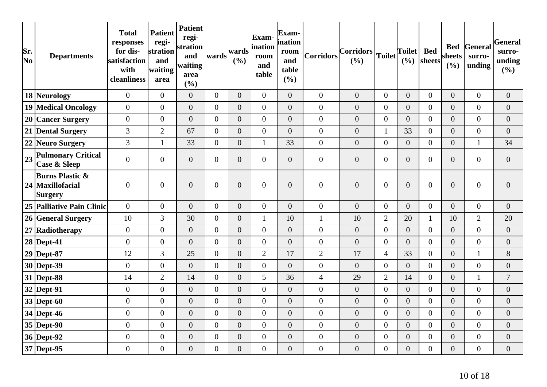| Sr.<br>No | <b>Departments</b>                                        | <b>Total</b><br>responses<br>for dis-<br>satisfaction<br>with<br>cleanliness | <b>Patient</b><br>regi-<br>stration<br>and<br>waiting<br>area | <b>Patient</b><br>regi-<br>stration<br>and<br>waiting<br>area<br>(%) | wards          | wards<br>(%)     | Exam-<br>ination<br>room<br>and<br>table | Exam-<br>ination<br>room<br>and<br>table<br>(%) | Corridors        | $ Corridors _{Toilet} $<br>(%) |                  | <b>Toilet</b><br>(%) | <b>Bed</b><br>sheets | sheets<br>(%)    | <b>Bed General</b><br>surro-<br>unding | General<br>surro-<br>unding<br>(%) |
|-----------|-----------------------------------------------------------|------------------------------------------------------------------------------|---------------------------------------------------------------|----------------------------------------------------------------------|----------------|------------------|------------------------------------------|-------------------------------------------------|------------------|--------------------------------|------------------|----------------------|----------------------|------------------|----------------------------------------|------------------------------------|
|           | 18 Neurology                                              | $\overline{0}$                                                               | $\overline{0}$                                                | $\overline{0}$                                                       | $\overline{0}$ | $\theta$         | $\overline{0}$                           | $\overline{0}$                                  | $\overline{0}$   | $\overline{0}$                 | $\boldsymbol{0}$ | $\overline{0}$       | $\overline{0}$       | $\overline{0}$   | $\boldsymbol{0}$                       | $\boldsymbol{0}$                   |
|           | <b>19 Medical Oncology</b>                                | $\overline{0}$                                                               | $\overline{0}$                                                | $\overline{0}$                                                       | $\overline{0}$ | $\theta$         | $\boldsymbol{0}$                         | $\overline{0}$                                  | $\overline{0}$   | $\boldsymbol{0}$               | $\boldsymbol{0}$ | $\overline{0}$       | $\overline{0}$       | $\overline{0}$   | $\boldsymbol{0}$                       | $\overline{0}$                     |
|           | 20 Cancer Surgery                                         | $\overline{0}$                                                               | $\overline{0}$                                                | $\overline{0}$                                                       | $\overline{0}$ | $\overline{0}$   | $\overline{0}$                           | $\overline{0}$                                  | $\overline{0}$   | $\overline{0}$                 | $\overline{0}$   | $\overline{0}$       | $\overline{0}$       | $\overline{0}$   | $\overline{0}$                         | $\overline{0}$                     |
|           | 21 Dental Surgery                                         | 3                                                                            | $\overline{2}$                                                | 67                                                                   | $\overline{0}$ | $\theta$         | $\overline{0}$                           | $\overline{0}$                                  | $\overline{0}$   | $\overline{0}$                 | $\mathbf{1}$     | 33                   | $\overline{0}$       | $\overline{0}$   | $\boldsymbol{0}$                       | $\boldsymbol{0}$                   |
|           | 22 Neuro Surgery                                          | 3                                                                            | $\mathbf{1}$                                                  | 33                                                                   | $\overline{0}$ | $\theta$         | $\mathbf{1}$                             | 33                                              | $\overline{0}$   | $\boldsymbol{0}$               | $\boldsymbol{0}$ | $\overline{0}$       | $\overline{0}$       | $\boldsymbol{0}$ | $\mathbf{1}$                           | 34                                 |
| 23        | <b>Pulmonary Critical</b><br><b>Case &amp; Sleep</b>      | $\overline{0}$                                                               | $\overline{0}$                                                | $\overline{0}$                                                       | $\overline{0}$ | $\overline{0}$   | $\boldsymbol{0}$                         | $\boldsymbol{0}$                                | $\boldsymbol{0}$ | $\boldsymbol{0}$               | $\boldsymbol{0}$ | $\overline{0}$       | $\overline{0}$       | $\boldsymbol{0}$ | $\boldsymbol{0}$                       | $\overline{0}$                     |
|           | <b>Burns Plastic &amp;</b><br>24 Maxillofacial<br>Surgery | $\theta$                                                                     | $\overline{0}$                                                | $\overline{0}$                                                       | $\overline{0}$ | $\theta$         | $\overline{0}$                           | $\overline{0}$                                  | $\overline{0}$   | $\overline{0}$                 | $\boldsymbol{0}$ | $\overline{0}$       | $\overline{0}$       | $\overline{0}$   | $\boldsymbol{0}$                       | $\overline{0}$                     |
|           | 25 Palliative Pain Clinic                                 | $\overline{0}$                                                               | $\overline{0}$                                                | $\overline{0}$                                                       | $\overline{0}$ | $\boldsymbol{0}$ | $\boldsymbol{0}$                         | $\overline{0}$                                  | $\boldsymbol{0}$ | $\boldsymbol{0}$               | $\boldsymbol{0}$ | $\overline{0}$       | $\overline{0}$       | $\overline{0}$   | $\boldsymbol{0}$                       | $\boldsymbol{0}$                   |
|           | 26 General Surgery                                        | 10                                                                           | 3                                                             | 30                                                                   | $\overline{0}$ | $\theta$         | $\mathbf{1}$                             | 10                                              | $\mathbf{1}$     | 10                             | $\mathbf{2}$     | 20                   | $\mathbf{1}$         | 10               | $\overline{2}$                         | 20                                 |
|           | 27 Radiotherapy                                           | $\boldsymbol{0}$                                                             | $\overline{0}$                                                | $\overline{0}$                                                       | $\overline{0}$ | $\theta$         | $\overline{0}$                           | $\overline{0}$                                  | $\overline{0}$   | $\overline{0}$                 | $\boldsymbol{0}$ | $\overline{0}$       | $\overline{0}$       | $\overline{0}$   | $\overline{0}$                         | $\overline{0}$                     |
|           | $28$ Dept-41                                              | $\overline{0}$                                                               | $\overline{0}$                                                | $\boldsymbol{0}$                                                     | $\overline{0}$ | $\boldsymbol{0}$ | $\boldsymbol{0}$                         | $\boldsymbol{0}$                                | $\boldsymbol{0}$ | $\boldsymbol{0}$               | $\boldsymbol{0}$ | $\overline{0}$       | $\overline{0}$       | $\boldsymbol{0}$ | $\boldsymbol{0}$                       | $\boldsymbol{0}$                   |
|           | 29 Dept-87                                                | 12                                                                           | 3                                                             | 25                                                                   | $\overline{0}$ | $\overline{0}$   | $\mathbf{2}$                             | 17                                              | $\mathbf{2}$     | 17                             | $\overline{4}$   | 33                   | $\overline{0}$       | $\boldsymbol{0}$ | $\mathbf{1}$                           | 8                                  |
|           | 30 Dept-39                                                | $\overline{0}$                                                               | $\overline{0}$                                                | $\overline{0}$                                                       | $\overline{0}$ | $\overline{0}$   | $\overline{0}$                           | $\overline{0}$                                  | $\overline{0}$   | $\overline{0}$                 | $\boldsymbol{0}$ | $\overline{0}$       | $\overline{0}$       | $\overline{0}$   | $\overline{0}$                         | $\overline{0}$                     |
|           | $31$ Dept-88                                              | 14                                                                           | $\overline{2}$                                                | 14                                                                   | $\overline{0}$ | $\theta$         | 5                                        | 36                                              | $\overline{4}$   | 29                             | $\mathbf{2}$     | 14                   | $\overline{0}$       | $\boldsymbol{0}$ | $\mathbf{1}$                           | $\tau$                             |
|           | $32$ Dept-91                                              | $\boldsymbol{0}$                                                             | $\overline{0}$                                                | $\overline{0}$                                                       | $\overline{0}$ | $\overline{0}$   | $\overline{0}$                           | $\overline{0}$                                  | $\overline{0}$   | $\overline{0}$                 | $\boldsymbol{0}$ | $\overline{0}$       | $\overline{0}$       | $\overline{0}$   | $\boldsymbol{0}$                       | $\boldsymbol{0}$                   |
|           | $33$ Dept-60                                              | $\overline{0}$                                                               | $\overline{0}$                                                | $\overline{0}$                                                       | $\overline{0}$ | $\overline{0}$   | $\overline{0}$                           | $\overline{0}$                                  | $\overline{0}$   | $\overline{0}$                 | $\boldsymbol{0}$ | $\overline{0}$       | $\overline{0}$       | $\overline{0}$   | $\overline{0}$                         | $\overline{0}$                     |
|           | 34 Dept-46                                                | $\overline{0}$                                                               | $\overline{0}$                                                | $\overline{0}$                                                       | $\overline{0}$ | $\theta$         | $\boldsymbol{0}$                         | $\overline{0}$                                  | $\boldsymbol{0}$ | $\overline{0}$                 | $\boldsymbol{0}$ | $\overline{0}$       | $\overline{0}$       | $\overline{0}$   | $\boldsymbol{0}$                       | $\boldsymbol{0}$                   |
|           | $35$ Dept-90                                              | $\boldsymbol{0}$                                                             | $\overline{0}$                                                | $\overline{0}$                                                       | $\overline{0}$ | $\overline{0}$   | $\overline{0}$                           | $\overline{0}$                                  | $\overline{0}$   | $\overline{0}$                 | $\overline{0}$   | $\overline{0}$       | $\overline{0}$       | $\overline{0}$   | $\overline{0}$                         | $\overline{0}$                     |
|           | 36 Dept-92                                                | $\boldsymbol{0}$                                                             | $\overline{0}$                                                | $\overline{0}$                                                       | $\overline{0}$ | $\overline{0}$   | $\overline{0}$                           | $\overline{0}$                                  | $\overline{0}$   | $\overline{0}$                 | $\boldsymbol{0}$ | $\overline{0}$       | $\overline{0}$       | $\overline{0}$   | $\overline{0}$                         | $\overline{0}$                     |
|           | 37 Dept-95                                                | $\overline{0}$                                                               | $\boldsymbol{0}$                                              | $\boldsymbol{0}$                                                     | $\overline{0}$ | $\boldsymbol{0}$ | $\boldsymbol{0}$                         | $\boldsymbol{0}$                                | $\boldsymbol{0}$ | $\boldsymbol{0}$               | $\boldsymbol{0}$ | $\boldsymbol{0}$     | $\overline{0}$       | $\overline{0}$   | $\boldsymbol{0}$                       | $\mathbf{0}$                       |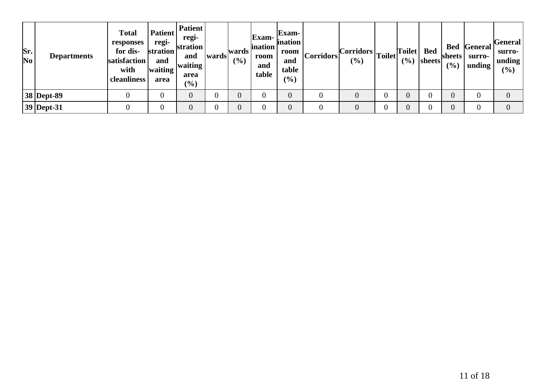| Sr.<br>$\overline{\text{No}}$ | <b>Departments</b> | <b>Total</b><br>responses<br>for dis-<br>satisfaction<br>with<br><b>cleanliness</b> | <b>Patient</b><br>regi-<br>stration<br>and<br>waiting<br>area | Patient<br>regi-<br>stration<br>and<br>waiting<br>area<br>$(\%)$ | wards | wards<br>(9/0) | <b>Exam-</b><br><i>ination</i><br>room<br>and<br>table | <b>Exam-</b><br><i>ination</i><br>room<br>and<br>table<br>$(\%)$ | Corridors | $\left\vert \text{Corridors} \right\vert \text{Toilet} \left\vert \text{Toilet} \right\vert.$<br>$($ %) | (%) | <b>Bed</b><br>$ {\rm sheets} $ | sheets !<br>(%) | <b>Bed</b> General<br>surro-<br>unding | General<br>surro-<br>unding<br>(%) |
|-------------------------------|--------------------|-------------------------------------------------------------------------------------|---------------------------------------------------------------|------------------------------------------------------------------|-------|----------------|--------------------------------------------------------|------------------------------------------------------------------|-----------|---------------------------------------------------------------------------------------------------------|-----|--------------------------------|-----------------|----------------------------------------|------------------------------------|
|                               | 38 Dept-89         |                                                                                     |                                                               |                                                                  |       | $\overline{0}$ | $\boldsymbol{0}$                                       |                                                                  |           |                                                                                                         |     |                                |                 | $\overline{0}$                         |                                    |
|                               | 39 Dept-31         |                                                                                     |                                                               |                                                                  |       | $\overline{0}$ | $\boldsymbol{0}$                                       |                                                                  |           |                                                                                                         |     |                                |                 | $\overline{0}$                         |                                    |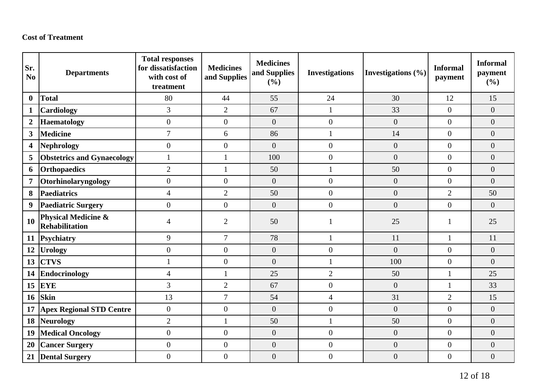#### **Cost of Treatment**

| Sr.<br>N <sub>0</sub>   | <b>Departments</b>                                      | <b>Total responses</b><br>for dissatisfaction<br>with cost of<br>treatment | <b>Medicines</b><br>and Supplies | <b>Medicines</b><br>and Supplies<br>(%) | <b>Investigations</b> | Investigations $(\% )$ | <b>Informal</b><br>payment | <b>Informal</b><br>payment<br>(%) |
|-------------------------|---------------------------------------------------------|----------------------------------------------------------------------------|----------------------------------|-----------------------------------------|-----------------------|------------------------|----------------------------|-----------------------------------|
| $\bf{0}$                | <b>Total</b>                                            | 80                                                                         | 44                               | 55                                      | 24                    | 30                     | 12                         | 15                                |
| 1                       | Cardiology                                              | 3                                                                          | $\overline{2}$                   | 67                                      | $\mathbf{1}$          | 33                     | $\mathbf{0}$               | $\overline{0}$                    |
| $\overline{2}$          | <b>Haematology</b>                                      | $\boldsymbol{0}$                                                           | $\overline{0}$                   | $\overline{0}$                          | $\boldsymbol{0}$      | $\overline{0}$         | $\overline{0}$             | $\overline{0}$                    |
| $\overline{\mathbf{3}}$ | <b>Medicine</b>                                         | $\overline{7}$                                                             | 6                                | 86                                      | $\mathbf{1}$          | 14                     | $\theta$                   | $\overline{0}$                    |
| $\overline{\mathbf{4}}$ | <b>Nephrology</b>                                       | $\boldsymbol{0}$                                                           | $\overline{0}$                   | $\overline{0}$                          | $\overline{0}$        | $\boldsymbol{0}$       | $\overline{0}$             | $\overline{0}$                    |
| 5                       | <b>Obstetrics and Gynaecology</b>                       | $\mathbf{1}$                                                               |                                  | 100                                     | $\boldsymbol{0}$      | $\boldsymbol{0}$       | $\overline{0}$             | $\overline{0}$                    |
| 6                       | Orthopaedics                                            | $\overline{2}$                                                             | 1                                | 50                                      | $\mathbf{1}$          | 50                     | $\overline{0}$             | $\overline{0}$                    |
| $\overline{7}$          | Otorhinolaryngology                                     | $\overline{0}$                                                             | $\overline{0}$                   | $\overline{0}$                          | $\overline{0}$        | $\overline{0}$         | $\theta$                   | $\overline{0}$                    |
| 8                       | <b>Paediatrics</b>                                      | $\overline{4}$                                                             | $\overline{2}$                   | 50                                      | $\boldsymbol{0}$      | $\boldsymbol{0}$       | $\overline{2}$             | 50                                |
| 9                       | <b>Paediatric Surgery</b>                               | $\boldsymbol{0}$                                                           | $\overline{0}$                   | $\boldsymbol{0}$                        | $\overline{0}$        | $\overline{0}$         | $\overline{0}$             | $\overline{0}$                    |
| 10                      | <b>Physical Medicine &amp;</b><br><b>Rehabilitation</b> | 4                                                                          | $\overline{2}$                   | 50                                      |                       | 25                     |                            | 25                                |
| 11                      | Psychiatry                                              | 9                                                                          | $\overline{7}$                   | 78                                      | $\mathbf{1}$          | 11                     | $\mathbf{1}$               | 11                                |
| 12                      | <b>Urology</b>                                          | $\boldsymbol{0}$                                                           | $\overline{0}$                   | $\boldsymbol{0}$                        | $\boldsymbol{0}$      | $\boldsymbol{0}$       | $\mathbf{0}$               | $\overline{0}$                    |
| 13                      | <b>CTVS</b>                                             | $\mathbf{1}$                                                               | $\overline{0}$                   | $\overline{0}$                          | $\mathbf{1}$          | 100                    | $\mathbf{0}$               | $\overline{0}$                    |
| 14                      | Endocrinology                                           | $\overline{4}$                                                             | 1                                | 25                                      | $\overline{2}$        | 50                     | 1                          | 25                                |
| 15                      | EYE                                                     | $\overline{3}$                                                             | $\overline{2}$                   | 67                                      | $\boldsymbol{0}$      | $\overline{0}$         | $\mathbf{1}$               | 33                                |
| <b>16</b>               | <b>Skin</b>                                             | 13                                                                         | $\overline{7}$                   | 54                                      | $\overline{4}$        | 31                     | $\overline{2}$             | 15                                |
| 17                      | <b>Apex Regional STD Centre</b>                         | $\boldsymbol{0}$                                                           | $\boldsymbol{0}$                 | $\boldsymbol{0}$                        | $\boldsymbol{0}$      | $\boldsymbol{0}$       | $\overline{0}$             | $\overline{0}$                    |
| 18                      | Neurology                                               | $\overline{2}$                                                             | 1                                | 50                                      | $\mathbf{1}$          | 50                     | $\overline{0}$             | $\overline{0}$                    |
| 19                      | <b>Medical Oncology</b>                                 | $\boldsymbol{0}$                                                           | $\overline{0}$                   | $\boldsymbol{0}$                        | $\boldsymbol{0}$      | $\boldsymbol{0}$       | $\overline{0}$             | $\overline{0}$                    |
| 20                      | <b>Cancer Surgery</b>                                   | $\overline{0}$                                                             | $\boldsymbol{0}$                 | $\boldsymbol{0}$                        | $\boldsymbol{0}$      | $\boldsymbol{0}$       | $\overline{0}$             | $\overline{0}$                    |
| 21                      | <b>Dental Surgery</b>                                   | $\overline{0}$                                                             | $\overline{0}$                   | $\overline{0}$                          | $\boldsymbol{0}$      | $\overline{0}$         | $\theta$                   | $\overline{0}$                    |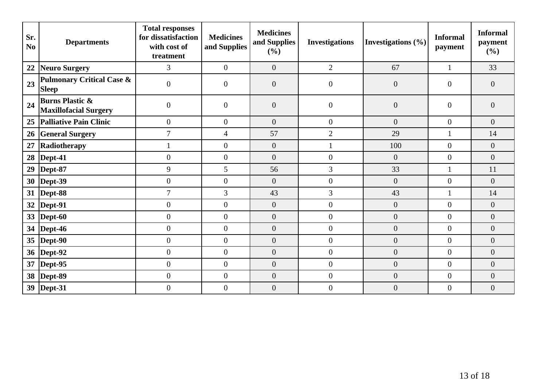| Sr.<br>N <sub>0</sub> | <b>Departments</b>                                         | <b>Total responses</b><br>for dissatisfaction<br>with cost of<br>treatment | <b>Medicines</b><br>and Supplies | <b>Medicines</b><br>and Supplies<br>(%) | <b>Investigations</b> | Investigations $(\% )$ | <b>Informal</b><br>payment | <b>Informal</b><br>payment<br>(%) |
|-----------------------|------------------------------------------------------------|----------------------------------------------------------------------------|----------------------------------|-----------------------------------------|-----------------------|------------------------|----------------------------|-----------------------------------|
| 22                    | <b>Neuro Surgery</b>                                       | 3                                                                          | $\overline{0}$                   | $\overline{0}$                          | $\overline{2}$        | 67                     | $\mathbf{1}$               | 33                                |
| 23                    | <b>Pulmonary Critical Case &amp;</b><br><b>Sleep</b>       | $\overline{0}$                                                             | $\overline{0}$                   | $\overline{0}$                          | $\overline{0}$        | $\overline{0}$         | $\overline{0}$             | $\overline{0}$                    |
| 24                    | <b>Burns Plastic &amp;</b><br><b>Maxillofacial Surgery</b> | $\overline{0}$                                                             | $\overline{0}$                   | $\overline{0}$                          | $\overline{0}$        | $\overline{0}$         | $\theta$                   | $\overline{0}$                    |
| 25                    | <b>Palliative Pain Clinic</b>                              | $\boldsymbol{0}$                                                           | $\overline{0}$                   | $\overline{0}$                          | $\boldsymbol{0}$      | $\overline{0}$         | $\overline{0}$             | $\overline{0}$                    |
| 26                    | <b>General Surgery</b>                                     | $\overline{7}$                                                             | $\overline{4}$                   | 57                                      | $\overline{2}$        | 29                     | 1                          | 14                                |
| 27                    | Radiotherapy                                               |                                                                            | $\mathbf{0}$                     | $\boldsymbol{0}$                        | $\mathbf{1}$          | 100                    | $\overline{0}$             | $\overline{0}$                    |
| 28                    | Dept-41                                                    | $\boldsymbol{0}$                                                           | $\overline{0}$                   | $\boldsymbol{0}$                        | $\boldsymbol{0}$      | $\overline{0}$         | $\boldsymbol{0}$           | $\overline{0}$                    |
| 29                    | Dept-87                                                    | 9                                                                          | 5                                | 56                                      | $\overline{3}$        | 33                     | $\mathbf{1}$               | 11                                |
| 30 <sup>°</sup>       | $\vert$ Dept-39                                            | $\boldsymbol{0}$                                                           | $\overline{0}$                   | $\boldsymbol{0}$                        | $\boldsymbol{0}$      | $\overline{0}$         | $\mathbf{0}$               | $\overline{0}$                    |
|                       | 31  Dept-88                                                | $\overline{7}$                                                             | $\overline{3}$                   | 43                                      | 3                     | 43                     | 1                          | 14                                |
| 32                    | Dept-91                                                    | $\overline{0}$                                                             | $\overline{0}$                   | $\boldsymbol{0}$                        | $\boldsymbol{0}$      | $\overline{0}$         | $\boldsymbol{0}$           | $\overline{0}$                    |
| 33 <sup>3</sup>       | Dept-60                                                    | $\boldsymbol{0}$                                                           | $\boldsymbol{0}$                 | $\boldsymbol{0}$                        | $\boldsymbol{0}$      | $\boldsymbol{0}$       | $\mathbf{0}$               | $\overline{0}$                    |
|                       | 34   Dept-46                                               | $\boldsymbol{0}$                                                           | $\overline{0}$                   | $\boldsymbol{0}$                        | $\boldsymbol{0}$      | $\boldsymbol{0}$       | $\overline{0}$             | $\overline{0}$                    |
|                       | 35  Dept-90                                                | $\boldsymbol{0}$                                                           | $\mathbf{0}$                     | $\boldsymbol{0}$                        | $\overline{0}$        | $\boldsymbol{0}$       | $\mathbf{0}$               | $\overline{0}$                    |
|                       | 36   Dept-92                                               | $\boldsymbol{0}$                                                           | $\boldsymbol{0}$                 | $\boldsymbol{0}$                        | $\boldsymbol{0}$      | $\boldsymbol{0}$       | $\boldsymbol{0}$           | $\overline{0}$                    |
|                       | 37   Dept-95                                               | $\boldsymbol{0}$                                                           | $\theta$                         | $\boldsymbol{0}$                        | $\overline{0}$        | $\overline{0}$         | $\overline{0}$             | $\overline{0}$                    |
|                       | 38   Dept-89                                               | $\boldsymbol{0}$                                                           | $\boldsymbol{0}$                 | $\boldsymbol{0}$                        | $\boldsymbol{0}$      | $\boldsymbol{0}$       | $\mathbf{0}$               | $\boldsymbol{0}$                  |
|                       | 39   Dept-31                                               | $\boldsymbol{0}$                                                           | $\overline{0}$                   | $\boldsymbol{0}$                        | $\boldsymbol{0}$      | $\boldsymbol{0}$       | $\overline{0}$             | $\boldsymbol{0}$                  |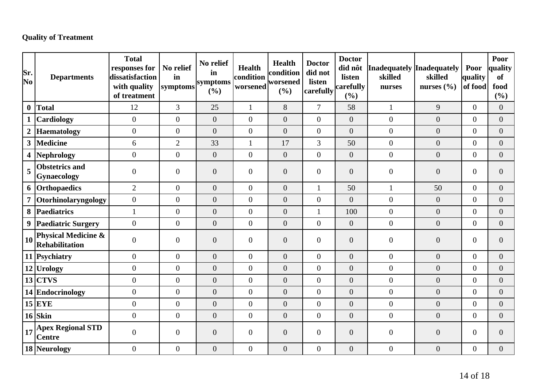## **Quality of Treatment**

| Sr.<br>No        | <b>Departments</b>                           | <b>Total</b><br>responses for<br>dissatisfaction<br>with quality<br>of treatment | No relief<br>in<br>symptoms | No relief<br>in<br>symptoms<br>(%) | <b>Health</b><br>condition<br>worsened | <b>Health</b><br>condition<br>worsened<br>(%) | <b>Doctor</b><br>did not<br>listen<br>carefully | <b>Doctor</b><br>did nôt<br>listen<br>carefully<br>(%) | Inadequately Inadequately<br>skilled<br>nurses | skilled<br>nurses $(\% )$ | Poor<br>quality<br>of food | Poor<br>quality<br><b>of</b><br>food<br>(%) |
|------------------|----------------------------------------------|----------------------------------------------------------------------------------|-----------------------------|------------------------------------|----------------------------------------|-----------------------------------------------|-------------------------------------------------|--------------------------------------------------------|------------------------------------------------|---------------------------|----------------------------|---------------------------------------------|
| $\boldsymbol{0}$ | Total                                        | 12                                                                               | $\overline{3}$              | 25                                 | $\mathbf{1}$                           | 8                                             | $\overline{7}$                                  | 58                                                     | $\mathbf{1}$                                   | 9                         | $\overline{0}$             | $\overline{0}$                              |
|                  | <b>Cardiology</b>                            | $\overline{0}$                                                                   | $\overline{0}$              | $\overline{0}$                     | $\overline{0}$                         | $\overline{0}$                                | $\overline{0}$                                  | $\overline{0}$                                         | $\overline{0}$                                 | $\overline{0}$            | $\overline{0}$             | $\overline{0}$                              |
| $\boldsymbol{2}$ | Haematology                                  | $\overline{0}$                                                                   | $\overline{0}$              | $\overline{0}$                     | $\mathbf{0}$                           | $\overline{0}$                                | $\overline{0}$                                  | $\overline{0}$                                         | $\overline{0}$                                 | $\overline{0}$            | $\overline{0}$             | $\overline{0}$                              |
| $\mathbf{3}$     | Medicine                                     | 6                                                                                | $\overline{2}$              | 33                                 | $\mathbf{1}$                           | 17                                            | 3                                               | 50                                                     | $\overline{0}$                                 | $\overline{0}$            | $\overline{0}$             | $\overline{0}$                              |
|                  | 4 Nephrology                                 | $\boldsymbol{0}$                                                                 | $\boldsymbol{0}$            | $\boldsymbol{0}$                   | $\overline{0}$                         | $\overline{0}$                                | $\overline{0}$                                  | $\overline{0}$                                         | $\boldsymbol{0}$                               | $\overline{0}$            | $\overline{0}$             | $\overline{0}$                              |
| 5                | <b>Obstetrics and</b><br>Gynaecology         | $\overline{0}$                                                                   | $\overline{0}$              | $\boldsymbol{0}$                   | $\boldsymbol{0}$                       | $\mathbf{0}$                                  | $\overline{0}$                                  | $\overline{0}$                                         | $\boldsymbol{0}$                               | $\overline{0}$            | $\mathbf{0}$               | $\mathbf{0}$                                |
|                  | 6 Orthopaedics                               | $\overline{2}$                                                                   | $\overline{0}$              | $\overline{0}$                     | $\overline{0}$                         | $\overline{0}$                                | 1                                               | 50                                                     | $\mathbf{1}$                                   | 50                        | $\Omega$                   | $\overline{0}$                              |
|                  | 7 Otorhinolaryngology                        | $\overline{0}$                                                                   | $\overline{0}$              | $\overline{0}$                     | $\overline{0}$                         | $\overline{0}$                                | $\overline{0}$                                  | $\overline{0}$                                         | $\overline{0}$                                 | $\overline{0}$            | $\overline{0}$             | $\overline{0}$                              |
|                  | 8   Paediatrics                              | $\mathbf{1}$                                                                     | $\overline{0}$              | $\overline{0}$                     | $\overline{0}$                         | $\overline{0}$                                |                                                 | 100                                                    | $\boldsymbol{0}$                               | $\overline{0}$            | $\overline{0}$             | $\overline{0}$                              |
|                  | 9 Paediatric Surgery                         | $\overline{0}$                                                                   | $\mathbf{0}$                | $\overline{0}$                     | $\mathbf{0}$                           | $\overline{0}$                                | $\overline{0}$                                  | $\overline{0}$                                         | $\overline{0}$                                 | $\overline{0}$            | $\overline{0}$             | $\overline{0}$                              |
| 10 <sup>1</sup>  | Physical Medicine &<br><b>Rehabilitation</b> | $\boldsymbol{0}$                                                                 | $\boldsymbol{0}$            | $\boldsymbol{0}$                   | $\boldsymbol{0}$                       | $\overline{0}$                                | $\boldsymbol{0}$                                | $\overline{0}$                                         | $\overline{0}$                                 | $\overline{0}$            | $\mathbf{0}$               | $\overline{0}$                              |
|                  | 11 Psychiatry                                | $\boldsymbol{0}$                                                                 | $\mathbf{0}$                | $\boldsymbol{0}$                   | $\mathbf{0}$                           | $\overline{0}$                                | $\boldsymbol{0}$                                | $\overline{0}$                                         | $\boldsymbol{0}$                               | $\overline{0}$            | $\mathbf{0}$               | $\boldsymbol{0}$                            |
|                  | 12 Urology                                   | $\boldsymbol{0}$                                                                 | $\overline{0}$              | $\boldsymbol{0}$                   | $\boldsymbol{0}$                       | $\overline{0}$                                | $\overline{0}$                                  | $\boldsymbol{0}$                                       | $\boldsymbol{0}$                               | $\overline{0}$            | $\boldsymbol{0}$           | $\boldsymbol{0}$                            |
|                  | $13$ CTVS                                    | $\boldsymbol{0}$                                                                 | $\boldsymbol{0}$            | $\boldsymbol{0}$                   | $\boldsymbol{0}$                       | $\overline{0}$                                | $\boldsymbol{0}$                                | $\boldsymbol{0}$                                       | $\overline{0}$                                 | $\overline{0}$            | $\boldsymbol{0}$           | $\boldsymbol{0}$                            |
|                  | 14 Endocrinology                             | $\boldsymbol{0}$                                                                 | $\boldsymbol{0}$            | $\boldsymbol{0}$                   | $\boldsymbol{0}$                       | $\overline{0}$                                | $\overline{0}$                                  | $\boldsymbol{0}$                                       | $\boldsymbol{0}$                               | $\overline{0}$            | $\boldsymbol{0}$           | $\boldsymbol{0}$                            |
|                  | $15$ EYE                                     | $\overline{0}$                                                                   | $\overline{0}$              | $\boldsymbol{0}$                   | $\boldsymbol{0}$                       | $\boldsymbol{0}$                              | $\overline{0}$                                  | $\overline{0}$                                         | $\boldsymbol{0}$                               | $\overline{0}$            | $\overline{0}$             | $\boldsymbol{0}$                            |
|                  | $16$ Skin                                    | $\overline{0}$                                                                   | $\overline{0}$              | $\overline{0}$                     | $\overline{0}$                         | $\overline{0}$                                | $\overline{0}$                                  | $\overline{0}$                                         | $\overline{0}$                                 | $\overline{0}$            | $\overline{0}$             | $\overline{0}$                              |
| 17               | <b>Apex Regional STD</b><br><b>Centre</b>    | $\overline{0}$                                                                   | $\overline{0}$              | $\overline{0}$                     | $\boldsymbol{0}$                       | $\overline{0}$                                | $\overline{0}$                                  | $\overline{0}$                                         | $\overline{0}$                                 | $\overline{0}$            | $\boldsymbol{0}$           | $\overline{0}$                              |
|                  | 18 Neurology                                 | $\overline{0}$                                                                   | $\boldsymbol{0}$            | $\boldsymbol{0}$                   | $\overline{0}$                         | $\boldsymbol{0}$                              | $\overline{0}$                                  | $\overline{0}$                                         | $\overline{0}$                                 | $\overline{0}$            | $\overline{0}$             | $\overline{0}$                              |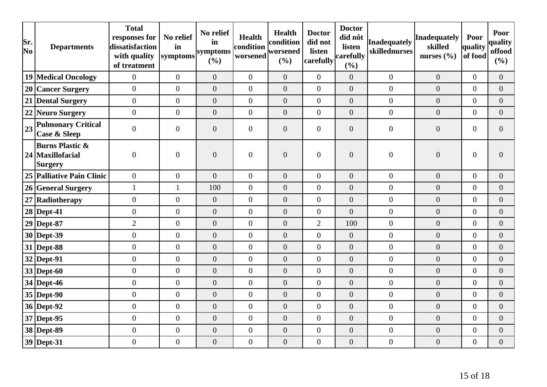| Sr.<br>No | <b>Departments</b>                                         | <b>Total</b><br>responses for<br>dissatisfaction<br>with quality<br>of treatment | No relief<br>in<br>symptoms | No relief<br>in<br>symptoms<br>(%) | <b>Health</b><br>condition<br>worsened | Health<br>condition<br>worsened<br>(%) | <b>Doctor</b><br>did not<br>listen<br>carefully | <b>Doctor</b><br>did nôt<br>listen<br>carefully<br>(%) | <b>Inadequately</b><br>skillednurses | Inadequately<br>skilled<br>nurses $(\% )$ | Poor<br>quality<br>of food | Poor<br>quality<br>offood<br>(%) |
|-----------|------------------------------------------------------------|----------------------------------------------------------------------------------|-----------------------------|------------------------------------|----------------------------------------|----------------------------------------|-------------------------------------------------|--------------------------------------------------------|--------------------------------------|-------------------------------------------|----------------------------|----------------------------------|
|           | <b>19 Medical Oncology</b>                                 | $\overline{0}$                                                                   | $\mathbf{0}$                | $\overline{0}$                     | $\overline{0}$                         | $\overline{0}$                         | $\overline{0}$                                  | $\overline{0}$                                         | $\boldsymbol{0}$                     | $\overline{0}$                            | $\overline{0}$             | $\overline{0}$                   |
|           | 20 Cancer Surgery                                          | $\overline{0}$                                                                   | $\boldsymbol{0}$            | $\overline{0}$                     | $\overline{0}$                         | $\overline{0}$                         | $\overline{0}$                                  | $\boldsymbol{0}$                                       | $\boldsymbol{0}$                     | $\theta$                                  | $\overline{0}$             | $\overline{0}$                   |
| 21        | <b>Dental Surgery</b>                                      | $\overline{0}$                                                                   | $\boldsymbol{0}$            | $\boldsymbol{0}$                   | $\overline{0}$                         | $\boldsymbol{0}$                       | $\overline{0}$                                  | $\boldsymbol{0}$                                       | $\boldsymbol{0}$                     | $\boldsymbol{0}$                          | $\overline{0}$             | $\overline{0}$                   |
|           | 22 Neuro Surgery                                           | $\overline{0}$                                                                   | $\mathbf{0}$                | $\overline{0}$                     | $\overline{0}$                         | $\overline{0}$                         | $\overline{0}$                                  | $\overline{0}$                                         | $\overline{0}$                       | $\overline{0}$                            | $\overline{0}$             | $\overline{0}$                   |
| 23        | <b>Pulmonary Critical</b><br><b>Case &amp; Sleep</b>       | $\overline{0}$                                                                   | $\boldsymbol{0}$            | $\overline{0}$                     | $\overline{0}$                         | $\overline{0}$                         | $\overline{0}$                                  | $\overline{0}$                                         | $\boldsymbol{0}$                     | $\mathbf{0}$                              | $\overline{0}$             | $\theta$                         |
|           | <b>Burns Plastic &amp;</b><br>24 Maxillofacial<br> Surgery | $\boldsymbol{0}$                                                                 | $\boldsymbol{0}$            | $\boldsymbol{0}$                   | $\boldsymbol{0}$                       | $\boldsymbol{0}$                       | $\overline{0}$                                  | $\boldsymbol{0}$                                       | $\boldsymbol{0}$                     | $\boldsymbol{0}$                          | $\overline{0}$             | $\overline{0}$                   |
|           | 25 Palliative Pain Clinic                                  | $\overline{0}$                                                                   | $\overline{0}$              | $\overline{0}$                     | $\overline{0}$                         | $\overline{0}$                         | $\overline{0}$                                  | $\boldsymbol{0}$                                       | $\boldsymbol{0}$                     | $\mathbf{0}$                              | $\overline{0}$             | $\overline{0}$                   |
|           | 26 General Surgery                                         | $\mathbf{1}$                                                                     | $\mathbf{1}$                | 100                                | $\overline{0}$                         | $\boldsymbol{0}$                       | $\overline{0}$                                  | $\boldsymbol{0}$                                       | $\boldsymbol{0}$                     | $\boldsymbol{0}$                          | $\Omega$                   | $\overline{0}$                   |
|           | 27 Radiotherapy                                            | $\overline{0}$                                                                   | $\mathbf{0}$                | $\overline{0}$                     | $\overline{0}$                         | $\overline{0}$                         | $\overline{0}$                                  | $\overline{0}$                                         | $\overline{0}$                       | $\overline{0}$                            | $\overline{0}$             | $\overline{0}$                   |
|           | $28$ Dept-41                                               | $\overline{0}$                                                                   | $\boldsymbol{0}$            | $\overline{0}$                     | $\overline{0}$                         | $\overline{0}$                         | $\overline{0}$                                  | $\overline{0}$                                         | $\overline{0}$                       | $\mathbf{0}$                              | $\overline{0}$             | $\overline{0}$                   |
|           | $29$ Dept-87                                               | $\overline{2}$                                                                   | $\overline{0}$              | $\boldsymbol{0}$                   | $\overline{0}$                         | $\boldsymbol{0}$                       | $\mathbf{2}$                                    | 100                                                    | $\boldsymbol{0}$                     | $\overline{0}$                            | $\overline{0}$             | $\Omega$                         |
|           | $30$ Dept-39                                               | $\boldsymbol{0}$                                                                 | $\boldsymbol{0}$            | $\overline{0}$                     | $\overline{0}$                         | $\overline{0}$                         | $\overline{0}$                                  | $\overline{0}$                                         | $\overline{0}$                       | $\overline{0}$                            | $\overline{0}$             | $\overline{0}$                   |
|           | $31$ Dept-88                                               | $\overline{0}$                                                                   | $\overline{0}$              | $\overline{0}$                     | $\mathbf{0}$                           | $\overline{0}$                         | $\overline{0}$                                  | $\overline{0}$                                         | $\overline{0}$                       | $\overline{0}$                            | $\overline{0}$             | $\overline{0}$                   |
|           | $32$ Dept-91                                               | $\boldsymbol{0}$                                                                 | $\boldsymbol{0}$            | $\boldsymbol{0}$                   | $\boldsymbol{0}$                       | $\boldsymbol{0}$                       | $\boldsymbol{0}$                                | $\boldsymbol{0}$                                       | $\boldsymbol{0}$                     | $\boldsymbol{0}$                          | $\overline{0}$             | $\overline{0}$                   |
|           | $33$ Dept-60                                               | $\overline{0}$                                                                   | $\overline{0}$              | $\overline{0}$                     | $\overline{0}$                         | $\overline{0}$                         | $\overline{0}$                                  | $\boldsymbol{0}$                                       | $\overline{0}$                       | $\overline{0}$                            | $\overline{0}$             | $\overline{0}$                   |
|           | $34$ Dept-46                                               | $\overline{0}$                                                                   | $\overline{0}$              | $\overline{0}$                     | $\overline{0}$                         | $\overline{0}$                         | $\overline{0}$                                  | $\overline{0}$                                         | $\overline{0}$                       | $\overline{0}$                            | $\overline{0}$             | $\overline{0}$                   |
|           | $35$ Dept-90                                               | $\overline{0}$                                                                   | $\boldsymbol{0}$            | $\overline{0}$                     | $\overline{0}$                         | $\overline{0}$                         | $\overline{0}$                                  | $\overline{0}$                                         | $\overline{0}$                       | $\mathbf{0}$                              | $\overline{0}$             | $\overline{0}$                   |
|           | 36 Dept-92                                                 | $\overline{0}$                                                                   | $\overline{0}$              | $\boldsymbol{0}$                   | $\overline{0}$                         | $\boldsymbol{0}$                       | $\overline{0}$                                  | $\overline{0}$                                         | $\overline{0}$                       | $\mathbf{0}$                              | $\overline{0}$             | $\overline{0}$                   |
|           | $37$ Dept-95                                               | $\boldsymbol{0}$                                                                 | $\overline{0}$              | $\overline{0}$                     | $\mathbf{0}$                           | $\overline{0}$                         | $\overline{0}$                                  | $\boldsymbol{0}$                                       | $\boldsymbol{0}$                     | $\overline{0}$                            | $\overline{0}$             | $\overline{0}$                   |
|           | 38 Dept-89                                                 | $\overline{0}$                                                                   | $\overline{0}$              | $\boldsymbol{0}$                   | $\boldsymbol{0}$                       | $\boldsymbol{0}$                       | $\overline{0}$                                  | $\boldsymbol{0}$                                       | $\boldsymbol{0}$                     | $\theta$                                  | $\overline{0}$             | $\overline{0}$                   |
|           | $39$ Dept-31                                               | $\overline{0}$                                                                   | $\boldsymbol{0}$            | $\boldsymbol{0}$                   | $\boldsymbol{0}$                       | $\boldsymbol{0}$                       | $\overline{0}$                                  | $\overline{0}$                                         | $\overline{0}$                       | $\boldsymbol{0}$                          | $\overline{0}$             | $\overline{0}$                   |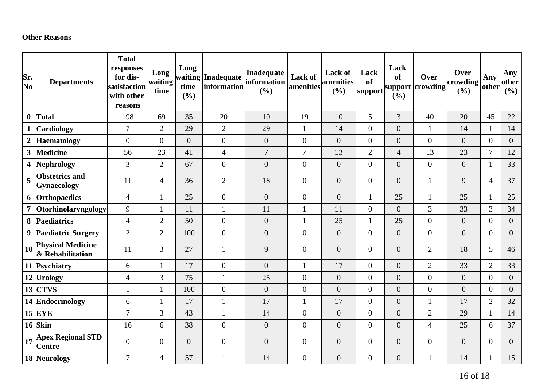#### **Other Reasons**

| Sr.<br>No        | <b>Departments</b>                           | <b>Total</b><br>responses<br>for dis-<br>satisfaction<br>with other<br>reasons | Long<br>waiting<br>time | Long<br>time<br>(%) | waiting Inadequate<br>information | <b>Inadequate</b><br>information<br>(%) | Lack of<br>amenities | <b>Lack of</b><br>amenities<br>(%) | Lack<br><b>of</b><br>support | Lack<br><b>of</b><br>support<br>(%) | Over<br>crowding | Over<br>crowding<br>(%) | Any<br>other     | Any<br>other<br>(9/0) |
|------------------|----------------------------------------------|--------------------------------------------------------------------------------|-------------------------|---------------------|-----------------------------------|-----------------------------------------|----------------------|------------------------------------|------------------------------|-------------------------------------|------------------|-------------------------|------------------|-----------------------|
| $\boldsymbol{0}$ | <b>Total</b>                                 | 198                                                                            | 69                      | 35                  | 20                                | 10                                      | 19                   | 10                                 | 5                            | 3                                   | 40               | 20                      | 45               | 22                    |
|                  | <b>Cardiology</b>                            | $\overline{7}$                                                                 | $\overline{2}$          | 29                  | $\mathbf{2}$                      | 29                                      | $\mathbf{1}$         | 14                                 | $\boldsymbol{0}$             | $\boldsymbol{0}$                    | $\mathbf{1}$     | 14                      | $\mathbf{1}$     | 14                    |
|                  | Haematology                                  | $\overline{0}$                                                                 | $\overline{0}$          | $\overline{0}$      | $\boldsymbol{0}$                  | $\boldsymbol{0}$                        | $\overline{0}$       | $\overline{0}$                     | $\boldsymbol{0}$             | $\overline{0}$                      | $\overline{0}$   | $\overline{0}$          | $\overline{0}$   | $\overline{0}$        |
| 3                | Medicine                                     | 56                                                                             | 23                      | 41                  | $\overline{4}$                    | $\overline{7}$                          | $\overline{7}$       | 13                                 | $\overline{2}$               | $\overline{4}$                      | 13               | 23                      | $\overline{7}$   | 12                    |
|                  | 4 Nephrology                                 | $\overline{3}$                                                                 | $\overline{2}$          | 67                  | $\boldsymbol{0}$                  | $\overline{0}$                          | $\overline{0}$       | $\overline{0}$                     | $\overline{0}$               | $\overline{0}$                      | $\overline{0}$   | $\overline{0}$          | $\mathbf{1}$     | 33                    |
| 5                | <b>Obstetrics and</b><br><b>Gynaecology</b>  | 11                                                                             | $\overline{4}$          | 36                  | $\overline{2}$                    | 18                                      | $\boldsymbol{0}$     | $\overline{0}$                     | $\overline{0}$               | $\overline{0}$                      | 1                | 9                       | $\overline{4}$   | 37                    |
|                  | 6 Orthopaedics                               | $\overline{4}$                                                                 | $\mathbf{1}$            | 25                  | $\overline{0}$                    | $\overline{0}$                          | $\overline{0}$       | $\overline{0}$                     | 1                            | 25                                  | $\mathbf{1}$     | 25                      | $\mathbf{1}$     | 25                    |
|                  | 7 Otorhinolaryngology                        | 9                                                                              | 1                       | 11                  | $\mathbf{1}$                      | 11                                      | $\mathbf{1}$         | 11                                 | $\overline{0}$               | $\overline{0}$                      | 3                | 33                      | 3                | 34                    |
|                  | 8 Paediatrics                                | $\overline{4}$                                                                 | $\overline{2}$          | 50                  | $\boldsymbol{0}$                  | $\boldsymbol{0}$                        | $\mathbf{1}$         | 25                                 | $\mathbf{1}$                 | 25                                  | $\overline{0}$   | $\overline{0}$          | $\boldsymbol{0}$ | $\overline{0}$        |
| $\boldsymbol{9}$ | <b>Paediatric Surgery</b>                    | $\overline{2}$                                                                 | $\overline{2}$          | 100                 | $\boldsymbol{0}$                  | $\mathbf{0}$                            | $\overline{0}$       | $\overline{0}$                     | $\overline{0}$               | $\overline{0}$                      | $\overline{0}$   | $\overline{0}$          | $\overline{0}$   | $\overline{0}$        |
| 10               | <b>Physical Medicine</b><br>& Rehabilitation | 11                                                                             | 3                       | 27                  | $\mathbf{1}$                      | 9                                       | $\boldsymbol{0}$     | $\overline{0}$                     | $\overline{0}$               | $\overline{0}$                      | $\overline{2}$   | 18                      | 5                | 46                    |
|                  | 11 Psychiatry                                | 6                                                                              | 1                       | 17                  | $\boldsymbol{0}$                  | $\overline{0}$                          | $\mathbf{1}$         | 17                                 | $\boldsymbol{0}$             | $\overline{0}$                      | $\overline{2}$   | 33                      | $\overline{2}$   | 33                    |
|                  | 12 Urology                                   | $\overline{4}$                                                                 | 3                       | 75                  | $\mathbf{1}$                      | 25                                      | $\boldsymbol{0}$     | $\overline{0}$                     | $\overline{0}$               | $\overline{0}$                      | $\overline{0}$   | $\overline{0}$          | $\overline{0}$   | $\overline{0}$        |
|                  | $13$ CTVS                                    | $\mathbf{1}$                                                                   | 1                       | 100                 | $\boldsymbol{0}$                  | $\overline{0}$                          | $\boldsymbol{0}$     | $\overline{0}$                     | $\boldsymbol{0}$             | $\overline{0}$                      | $\overline{0}$   | $\overline{0}$          | $\boldsymbol{0}$ | $\overline{0}$        |
|                  | 14 Endocrinology                             | 6                                                                              | $\mathbf{1}$            | 17                  | $\mathbf{1}$                      | 17                                      | $\mathbf{1}$         | 17                                 | $\overline{0}$               | $\overline{0}$                      | $\mathbf{1}$     | 17                      | $\overline{2}$   | 32                    |
|                  | $15$ EYE                                     | $\overline{7}$                                                                 | 3                       | 43                  | $\mathbf{1}$                      | 14                                      | $\overline{0}$       | $\boldsymbol{0}$                   | $\boldsymbol{0}$             | $\overline{0}$                      | $\overline{2}$   | 29                      | $\mathbf{1}$     | 14                    |
|                  | $16$ Skin                                    | 16                                                                             | 6                       | 38                  | $\boldsymbol{0}$                  | $\boldsymbol{0}$                        | $\overline{0}$       | $\overline{0}$                     | $\overline{0}$               | $\overline{0}$                      | $\overline{4}$   | 25                      | 6                | 37                    |
| 17               | <b>Apex Regional STD</b><br><b>Centre</b>    | $\mathbf{0}$                                                                   | $\overline{0}$          | $\overline{0}$      | $\boldsymbol{0}$                  | $\boldsymbol{0}$                        | $\boldsymbol{0}$     | $\overline{0}$                     | $\overline{0}$               | $\overline{0}$                      | $\overline{0}$   | $\boldsymbol{0}$        | $\overline{0}$   | $\overline{0}$        |
|                  | 18 Neurology                                 | $\overline{7}$                                                                 | $\overline{4}$          | 57                  | $\mathbf{1}$                      | 14                                      | $\boldsymbol{0}$     | $\boldsymbol{0}$                   | $\boldsymbol{0}$             | $\boldsymbol{0}$                    |                  | 14                      | $\mathbf{1}$     | 15                    |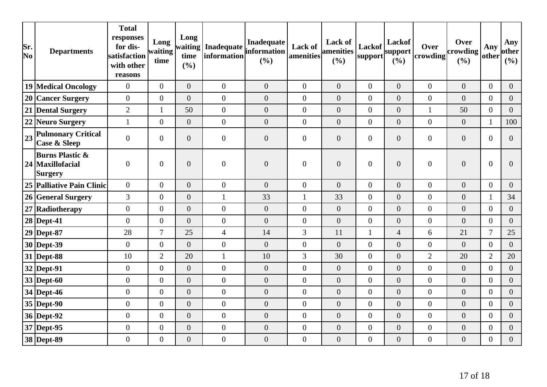| Sr.<br>$\overline{\textbf{N}}\textbf{o}$ | <b>Departments</b>                                        | <b>Total</b><br>responses<br>for dis-<br>satisfaction<br>with other<br>reasons | Long<br>waiting<br>time | Long<br>waiting<br>time<br>(%) | Inadequate<br>information | Inadequate<br>information<br>(%) | Lack of<br>amenities | <b>Lack of</b><br>amenities<br>(%) | Lackof<br>support | Lackof<br>support<br>(%) | Over<br>crowding | Over<br>crowding<br>(%) | Any<br>other     | Any<br>other<br>(%) |
|------------------------------------------|-----------------------------------------------------------|--------------------------------------------------------------------------------|-------------------------|--------------------------------|---------------------------|----------------------------------|----------------------|------------------------------------|-------------------|--------------------------|------------------|-------------------------|------------------|---------------------|
|                                          | 19 Medical Oncology                                       | $\mathbf{0}$                                                                   | $\overline{0}$          | $\overline{0}$                 | $\boldsymbol{0}$          | $\overline{0}$                   | $\overline{0}$       | $\overline{0}$                     | $\overline{0}$    | $\theta$                 | $\overline{0}$   | $\boldsymbol{0}$        | $\overline{0}$   | $\overline{0}$      |
|                                          | 20 Cancer Surgery                                         | $\overline{0}$                                                                 | $\overline{0}$          | $\overline{0}$                 | $\boldsymbol{0}$          | $\boldsymbol{0}$                 | $\boldsymbol{0}$     | $\overline{0}$                     | $\boldsymbol{0}$  | $\boldsymbol{0}$         | $\overline{0}$   | $\overline{0}$          | $\boldsymbol{0}$ | $\overline{0}$      |
|                                          | 21 Dental Surgery                                         | $\overline{2}$                                                                 |                         | 50                             | $\boldsymbol{0}$          | $\boldsymbol{0}$                 | $\boldsymbol{0}$     | $\boldsymbol{0}$                   | $\boldsymbol{0}$  | $\boldsymbol{0}$         | $\mathbf{1}$     | 50                      | $\overline{0}$   | $\overline{0}$      |
|                                          | 22 Neuro Surgery                                          | $\mathbf{1}$                                                                   | $\overline{0}$          | $\overline{0}$                 | $\boldsymbol{0}$          | $\boldsymbol{0}$                 | $\boldsymbol{0}$     | $\boldsymbol{0}$                   | $\boldsymbol{0}$  | $\boldsymbol{0}$         | $\overline{0}$   | $\boldsymbol{0}$        | $\mathbf{1}$     | 100                 |
| 23                                       | <b>Pulmonary Critical</b><br><b>Case &amp; Sleep</b>      | $\overline{0}$                                                                 | $\overline{0}$          | $\overline{0}$                 | $\overline{0}$            | $\overline{0}$                   | $\overline{0}$       | $\overline{0}$                     | $\boldsymbol{0}$  | $\overline{0}$           | $\overline{0}$   | $\boldsymbol{0}$        | $\overline{0}$   | $\theta$            |
|                                          | <b>Burns Plastic &amp;</b><br>24 Maxillofacial<br>Surgery | $\overline{0}$                                                                 | $\overline{0}$          | $\overline{0}$                 | $\boldsymbol{0}$          | $\boldsymbol{0}$                 | $\overline{0}$       | $\overline{0}$                     | $\boldsymbol{0}$  | $\overline{0}$           | $\overline{0}$   | $\boldsymbol{0}$        | $\boldsymbol{0}$ | $\Omega$            |
|                                          | 25 Palliative Pain Clinic                                 | $\overline{0}$                                                                 | $\overline{0}$          | $\theta$                       | $\boldsymbol{0}$          | $\overline{0}$                   | $\boldsymbol{0}$     | $\overline{0}$                     | $\boldsymbol{0}$  | $\boldsymbol{0}$         | $\overline{0}$   | $\boldsymbol{0}$        | $\overline{0}$   | $\overline{0}$      |
|                                          | 26 General Surgery                                        | 3                                                                              | $\boldsymbol{0}$        | $\boldsymbol{0}$               | $\mathbf{1}$              | 33                               | $\mathbf{1}$         | 33                                 | $\boldsymbol{0}$  | $\boldsymbol{0}$         | $\overline{0}$   | $\boldsymbol{0}$        | $\mathbf{1}$     | 34                  |
|                                          | 27 Radiotherapy                                           | $\mathbf{0}$                                                                   | $\boldsymbol{0}$        | $\overline{0}$                 | $\boldsymbol{0}$          | $\boldsymbol{0}$                 | $\boldsymbol{0}$     | $\boldsymbol{0}$                   | $\boldsymbol{0}$  | $\boldsymbol{0}$         | $\overline{0}$   | $\overline{0}$          | $\overline{0}$   | $\overline{0}$      |
|                                          | $28$ Dept-41                                              | $\mathbf{0}$                                                                   | $\boldsymbol{0}$        | $\overline{0}$                 | $\boldsymbol{0}$          | $\boldsymbol{0}$                 | $\boldsymbol{0}$     | $\overline{0}$                     | $\overline{0}$    | $\overline{0}$           | $\overline{0}$   | $\overline{0}$          | $\boldsymbol{0}$ | $\overline{0}$      |
|                                          | $29$ Dept-87                                              | 28                                                                             | $\overline{7}$          | 25                             | $\overline{4}$            | 14                               | 3                    | 11                                 | $\mathbf{1}$      | $\overline{4}$           | 6                | 21                      | $\overline{7}$   | 25                  |
|                                          | 30 Dept-39                                                | $\boldsymbol{0}$                                                               | $\boldsymbol{0}$        | $\overline{0}$                 | $\boldsymbol{0}$          | $\boldsymbol{0}$                 | $\boldsymbol{0}$     | $\overline{0}$                     | $\boldsymbol{0}$  | $\boldsymbol{0}$         | $\overline{0}$   | $\overline{0}$          | $\overline{0}$   | $\overline{0}$      |
|                                          | 31 Dept-88                                                | 10                                                                             | $\overline{2}$          | 20                             | $\mathbf{1}$              | 10                               | 3                    | 30                                 | $\boldsymbol{0}$  | $\boldsymbol{0}$         | $\overline{2}$   | 20                      | $\overline{2}$   | 20                  |
|                                          | $32$ Dept-91                                              | $\boldsymbol{0}$                                                               | $\overline{0}$          | $\overline{0}$                 | $\boldsymbol{0}$          | $\boldsymbol{0}$                 | $\boldsymbol{0}$     | $\overline{0}$                     | $\boldsymbol{0}$  | $\overline{0}$           | $\overline{0}$   | $\boldsymbol{0}$        | $\boldsymbol{0}$ | $\overline{0}$      |
|                                          | $33$ Dept-60                                              | $\mathbf{0}$                                                                   | $\overline{0}$          | $\overline{0}$                 | $\boldsymbol{0}$          | $\boldsymbol{0}$                 | $\boldsymbol{0}$     | $\overline{0}$                     | $\overline{0}$    | $\boldsymbol{0}$         | $\overline{0}$   | $\boldsymbol{0}$        | $\overline{0}$   | $\overline{0}$      |
|                                          | $34$ Dept-46                                              | $\mathbf{0}$                                                                   | $\overline{0}$          | $\overline{0}$                 | $\boldsymbol{0}$          | $\boldsymbol{0}$                 | $\boldsymbol{0}$     | $\overline{0}$                     | $\overline{0}$    | $\boldsymbol{0}$         | $\overline{0}$   | $\boldsymbol{0}$        | $\overline{0}$   | $\overline{0}$      |
|                                          | $35$ Dept-90                                              | $\overline{0}$                                                                 | $\overline{0}$          | $\overline{0}$                 | $\boldsymbol{0}$          | $\boldsymbol{0}$                 | $\boldsymbol{0}$     | $\boldsymbol{0}$                   | $\boldsymbol{0}$  | $\boldsymbol{0}$         | $\overline{0}$   | $\overline{0}$          | $\overline{0}$   | $\overline{0}$      |
|                                          | $36$ Dept-92                                              | $\mathbf{0}$                                                                   | $\overline{0}$          | $\overline{0}$                 | $\boldsymbol{0}$          | $\boldsymbol{0}$                 | $\overline{0}$       | $\overline{0}$                     | $\overline{0}$    | $\theta$                 | $\overline{0}$   | $\boldsymbol{0}$        | $\overline{0}$   | $\overline{0}$      |
|                                          | 37 Dept-95                                                | $\boldsymbol{0}$                                                               | $\boldsymbol{0}$        | $\overline{0}$                 | $\boldsymbol{0}$          | $\boldsymbol{0}$                 | $\boldsymbol{0}$     | $\boldsymbol{0}$                   | $\boldsymbol{0}$  | $\boldsymbol{0}$         | $\overline{0}$   | $\boldsymbol{0}$        | $\boldsymbol{0}$ | $\overline{0}$      |
|                                          | 38 Dept-89                                                | $\boldsymbol{0}$                                                               | $\overline{0}$          | $\overline{0}$                 | $\boldsymbol{0}$          | $\mathbf{0}$                     | $\boldsymbol{0}$     | $\boldsymbol{0}$                   | $\boldsymbol{0}$  | $\boldsymbol{0}$         | $\boldsymbol{0}$ | $\boldsymbol{0}$        | $\boldsymbol{0}$ | $\overline{0}$      |